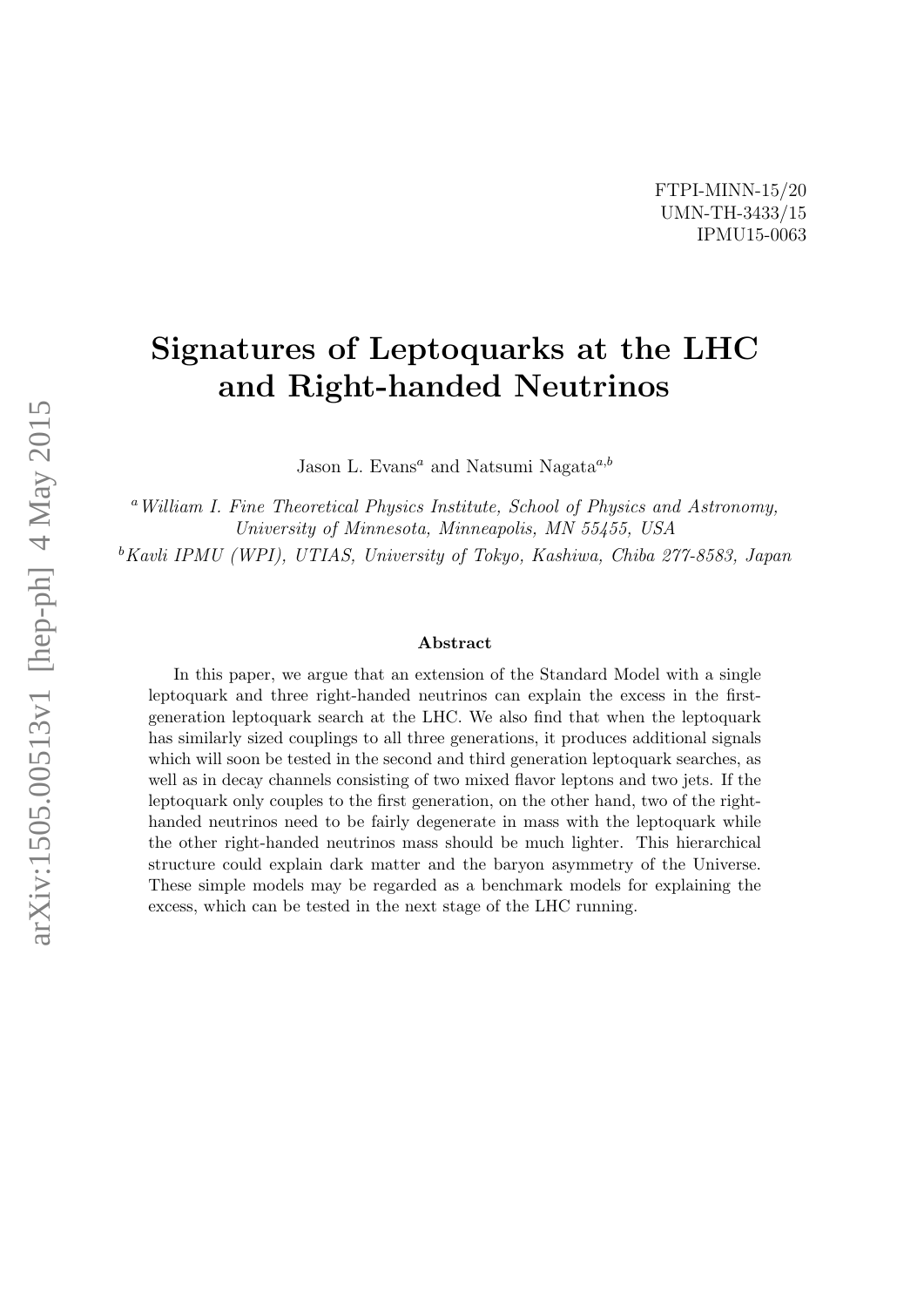# Signatures of Leptoquarks at the LHC and Right-handed Neutrinos

Jason L. Evans<sup>a</sup> and Natsumi Nagata<sup>a,b</sup>

<sup>a</sup> William I. Fine Theoretical Physics Institute, School of Physics and Astronomy, University of Minnesota, Minneapolis, MN 55455, USA

 $b$ Kavli IPMU (WPI), UTIAS, University of Tokyo, Kashiwa, Chiba 277-8583, Japan

#### Abstract

In this paper, we argue that an extension of the Standard Model with a single leptoquark and three right-handed neutrinos can explain the excess in the firstgeneration leptoquark search at the LHC. We also find that when the leptoquark has similarly sized couplings to all three generations, it produces additional signals which will soon be tested in the second and third generation leptoquark searches, as well as in decay channels consisting of two mixed flavor leptons and two jets. If the leptoquark only couples to the first generation, on the other hand, two of the righthanded neutrinos need to be fairly degenerate in mass with the leptoquark while the other right-handed neutrinos mass should be much lighter. This hierarchical structure could explain dark matter and the baryon asymmetry of the Universe. These simple models may be regarded as a benchmark models for explaining the excess, which can be tested in the next stage of the LHC running.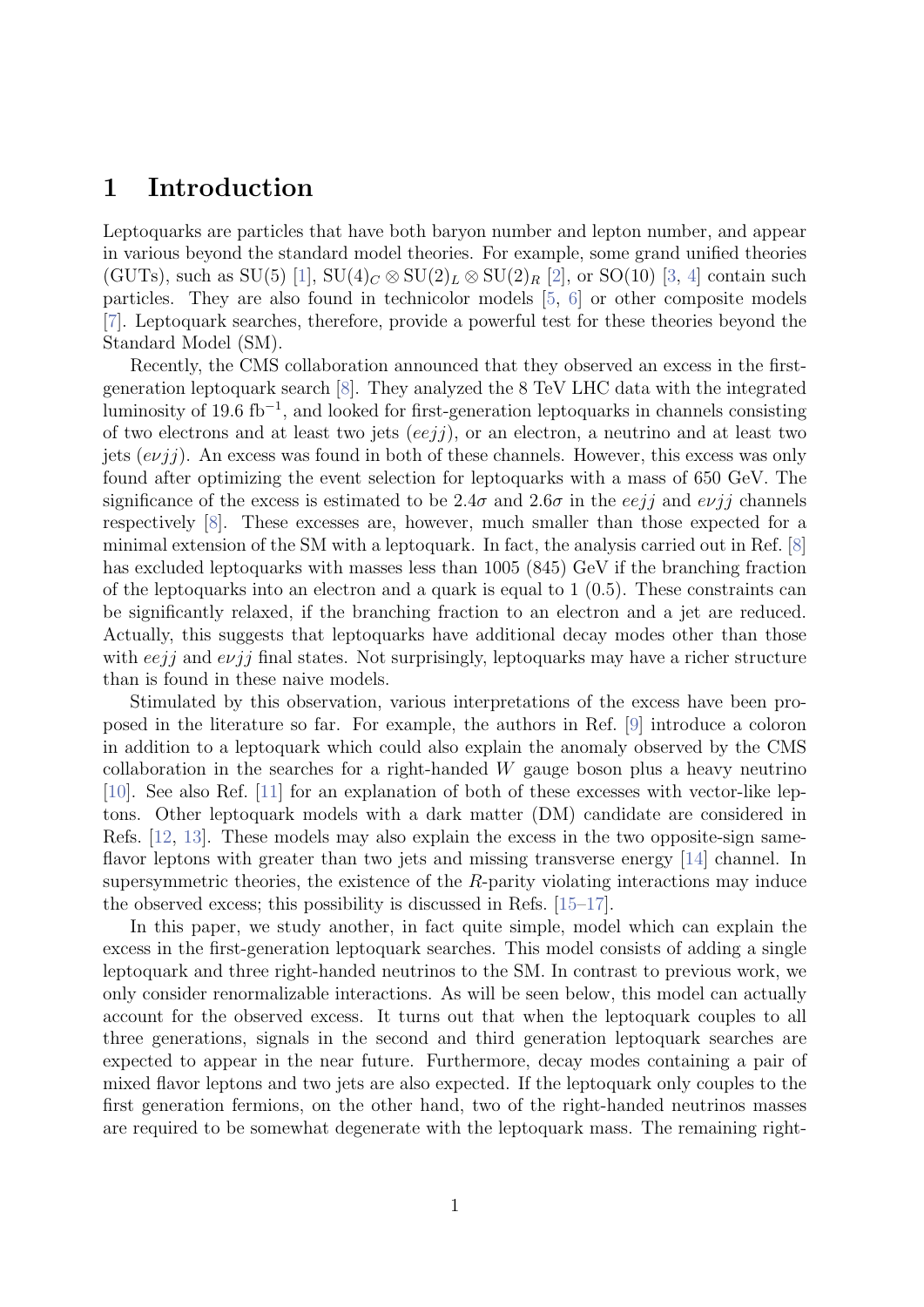### 1 Introduction

Leptoquarks are particles that have both baryon number and lepton number, and appear in various beyond the standard model theories. For example, some grand unified theories (GUTs), such as SU(5) [\[1\]](#page-19-0),  $SU(4)_C \otimes SU(2)_L \otimes SU(2)_R$  [\[2\]](#page-19-1), or SO(10) [\[3,](#page-19-2) [4\]](#page-19-3) contain such particles. They are also found in technicolor models [\[5,](#page-19-4) [6\]](#page-19-5) or other composite models [\[7\]](#page-19-6). Leptoquark searches, therefore, provide a powerful test for these theories beyond the Standard Model (SM).

Recently, the CMS collaboration announced that they observed an excess in the firstgeneration leptoquark search [\[8\]](#page-19-7). They analyzed the 8 TeV LHC data with the integrated luminosity of 19.6 fb<sup>−</sup><sup>1</sup> , and looked for first-generation leptoquarks in channels consisting of two electrons and at least two jets  $(eejj)$ , or an electron, a neutrino and at least two jets  $(e\nu j\eta)$ . An excess was found in both of these channels. However, this excess was only found after optimizing the event selection for leptoquarks with a mass of 650 GeV. The significance of the excess is estimated to be 2.4 $\sigma$  and 2.6 $\sigma$  in the eejj and evjj channels respectively [\[8\]](#page-19-7). These excesses are, however, much smaller than those expected for a minimal extension of the SM with a leptoquark. In fact, the analysis carried out in Ref. [\[8\]](#page-19-7) has excluded leptoquarks with masses less than 1005 (845) GeV if the branching fraction of the leptoquarks into an electron and a quark is equal to  $1(0.5)$ . These constraints can be significantly relaxed, if the branching fraction to an electron and a jet are reduced. Actually, this suggests that leptoquarks have additional decay modes other than those with  $eejj$  and  $evjj$  final states. Not surprisingly, leptoquarks may have a richer structure than is found in these naive models.

Stimulated by this observation, various interpretations of the excess have been proposed in the literature so far. For example, the authors in Ref. [\[9\]](#page-19-8) introduce a coloron in addition to a leptoquark which could also explain the anomaly observed by the CMS collaboration in the searches for a right-handed  $W$  gauge boson plus a heavy neutrino [\[10\]](#page-19-9). See also Ref. [\[11\]](#page-19-10) for an explanation of both of these excesses with vector-like leptons. Other leptoquark models with a dark matter (DM) candidate are considered in Refs. [\[12,](#page-19-11) [13\]](#page-19-12). These models may also explain the excess in the two opposite-sign sameflavor leptons with greater than two jets and missing transverse energy [\[14\]](#page-19-13) channel. In supersymmetric theories, the existence of the R-parity violating interactions may induce the observed excess; this possibility is discussed in Refs. [\[15–](#page-19-14)[17\]](#page-20-0).

In this paper, we study another, in fact quite simple, model which can explain the excess in the first-generation leptoquark searches. This model consists of adding a single leptoquark and three right-handed neutrinos to the SM. In contrast to previous work, we only consider renormalizable interactions. As will be seen below, this model can actually account for the observed excess. It turns out that when the leptoquark couples to all three generations, signals in the second and third generation leptoquark searches are expected to appear in the near future. Furthermore, decay modes containing a pair of mixed flavor leptons and two jets are also expected. If the leptoquark only couples to the first generation fermions, on the other hand, two of the right-handed neutrinos masses are required to be somewhat degenerate with the leptoquark mass. The remaining right-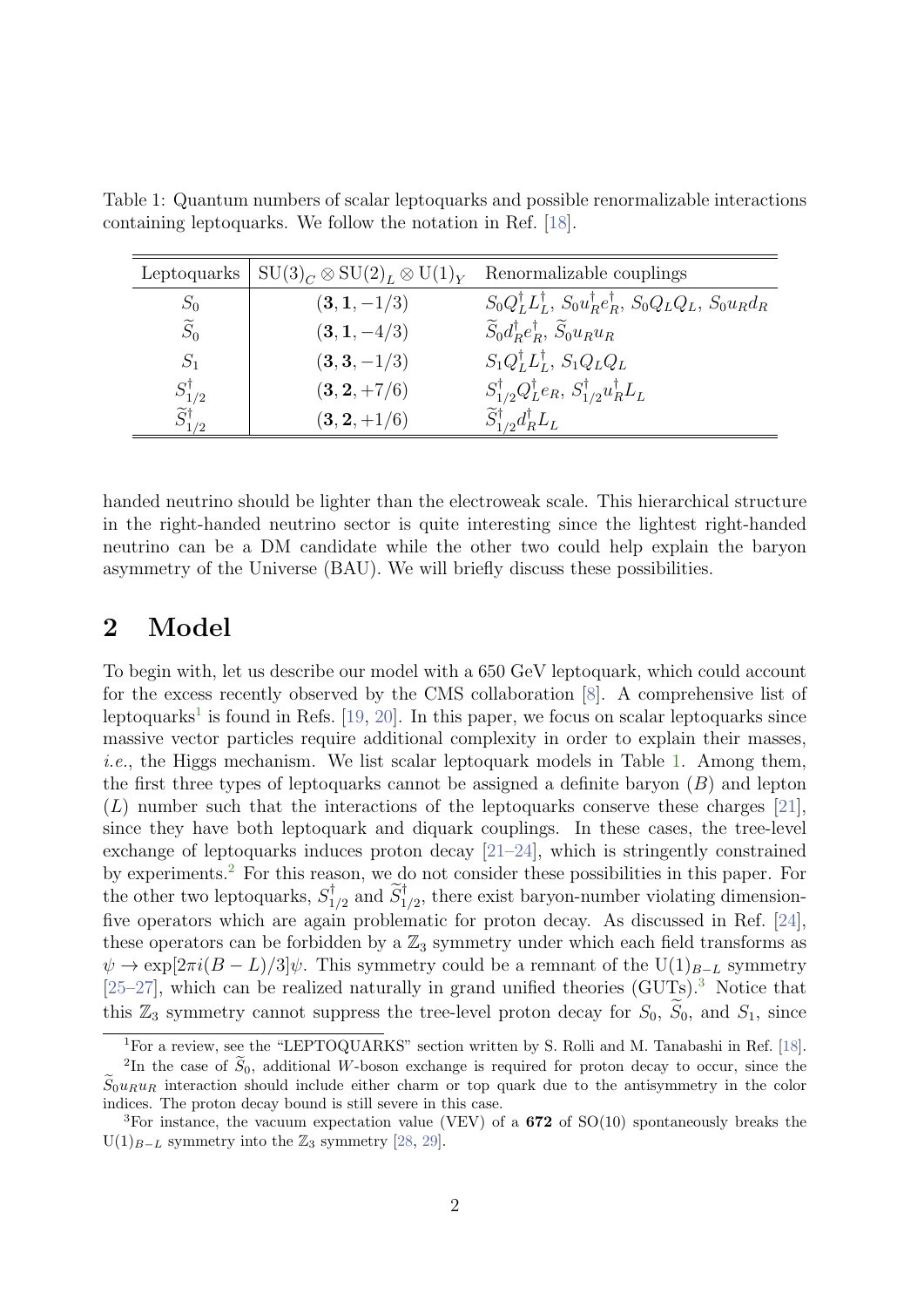| Leptoquarks                   | $\vert \text{ SU(3)}_C \otimes \text{SU(2)}_L \otimes \text{U(1)}_Y \vert$ | Renormalizable couplings                                                                              |
|-------------------------------|----------------------------------------------------------------------------|-------------------------------------------------------------------------------------------------------|
| $S_0$                         | $(3,1,-1/3)$                                                               | $S_0 Q_L^{\dagger} L_L^{\dagger}$ , $S_0 u_R^{\dagger} e_R^{\dagger}$ , $S_0 Q_L Q_L$ , $S_0 u_R d_R$ |
| $\widetilde{S}_0$             | $(3, 1, -4/3)$                                                             | $\widetilde{S}_0 d_R^{\dagger} e_R^{\dagger}, \widetilde{S}_0 u_R u_R$                                |
| $S_1$                         | $(3,3,-1/3)$                                                               | $S_1 Q_L^{\dagger} L_L^{\dagger}$ , $S_1 Q_L Q_L$                                                     |
| $S_{1/2}^{\dagger}$           | $(3, 2, +7/6)$                                                             | $S_{1/2}^{\dagger}Q_{L}^{\dagger}e_{R}, S_{1/2}^{\dagger}u_{R}^{\dagger}L_{L}$                        |
| $\widetilde{S}_{1/2}^\dagger$ | $(3, 2, +1/6)$                                                             | $\widetilde{S}_{1/2}^{\dagger}d_{R}^{\dagger}L_{L}$                                                   |

<span id="page-2-1"></span>Table 1: Quantum numbers of scalar leptoquarks and possible renormalizable interactions containing leptoquarks. We follow the notation in Ref. [\[18\]](#page-20-1).

handed neutrino should be lighter than the electroweak scale. This hierarchical structure in the right-handed neutrino sector is quite interesting since the lightest right-handed neutrino can be a DM candidate while the other two could help explain the baryon asymmetry of the Universe (BAU). We will briefly discuss these possibilities.

### 2 Model

To begin with, let us describe our model with a 650 GeV leptoquark, which could account for the excess recently observed by the CMS collaboration [\[8\]](#page-19-7). A comprehensive list of leptoquarks<sup>[1](#page-2-0)</sup> is found in Refs. [\[19,](#page-20-2) [20\]](#page-20-3). In this paper, we focus on scalar leptoquarks since massive vector particles require additional complexity in order to explain their masses, i.e., the Higgs mechanism. We list scalar leptoquark models in Table [1.](#page-2-1) Among them, the first three types of leptoquarks cannot be assigned a definite baryon  $(B)$  and lepton  $(L)$  number such that the interactions of the leptoquarks conserve these charges [\[21\]](#page-20-4), since they have both leptoquark and diquark couplings. In these cases, the tree-level exchange of leptoquarks induces proton decay [\[21–](#page-20-4)[24\]](#page-20-5), which is stringently constrained by experiments.[2](#page-2-2) For this reason, we do not consider these possibilities in this paper. For the other two leptoquarks,  $S_1^{\dagger}$  $\tilde{S}_{1/2}^{\dagger}$  and  $\tilde{S}_{1/2}^{\dagger}$ , there exist baryon-number violating dimensionfive operators which are again problematic for proton decay. As discussed in Ref. [\[24\]](#page-20-5), these operators can be forbidden by a  $\mathbb{Z}_3$  symmetry under which each field transforms as  $\psi \to \exp[2\pi i(B-L)/3]\psi$ . This symmetry could be a remnant of the U(1)<sub>B−L</sub> symmetry [\[25](#page-20-6)[–27\]](#page-20-7), which can be realized naturally in grand unified theories  $(GUTs)$ .<sup>[3](#page-2-3)</sup> Notice that this  $\mathbb{Z}_3$  symmetry cannot suppress the tree-level proton decay for  $S_0$ ,  $\tilde{S}_0$ , and  $S_1$ , since

<span id="page-2-2"></span><span id="page-2-0"></span><sup>&</sup>lt;sup>1</sup>For a review, see the "LEPTOQUARKS" section written by S. Rolli and M. Tanabashi in Ref. [\[18\]](#page-20-1).

<sup>&</sup>lt;sup>2</sup>In the case of  $S_0$ , additional W-boson exchange is required for proton decay to occur, since the  $\widetilde{S}_0u_Ru_R$  interaction should include either charm or top quark due to the antisymmetry in the color indices. The proton decay bound is still severe in this case.

<span id="page-2-3"></span><sup>&</sup>lt;sup>3</sup>For instance, the vacuum expectation value (VEV) of a  $672$  of  $SO(10)$  spontaneously breaks the  $U(1)_{B-L}$  symmetry into the  $\mathbb{Z}_3$  symmetry [\[28,](#page-20-8) [29\]](#page-20-9).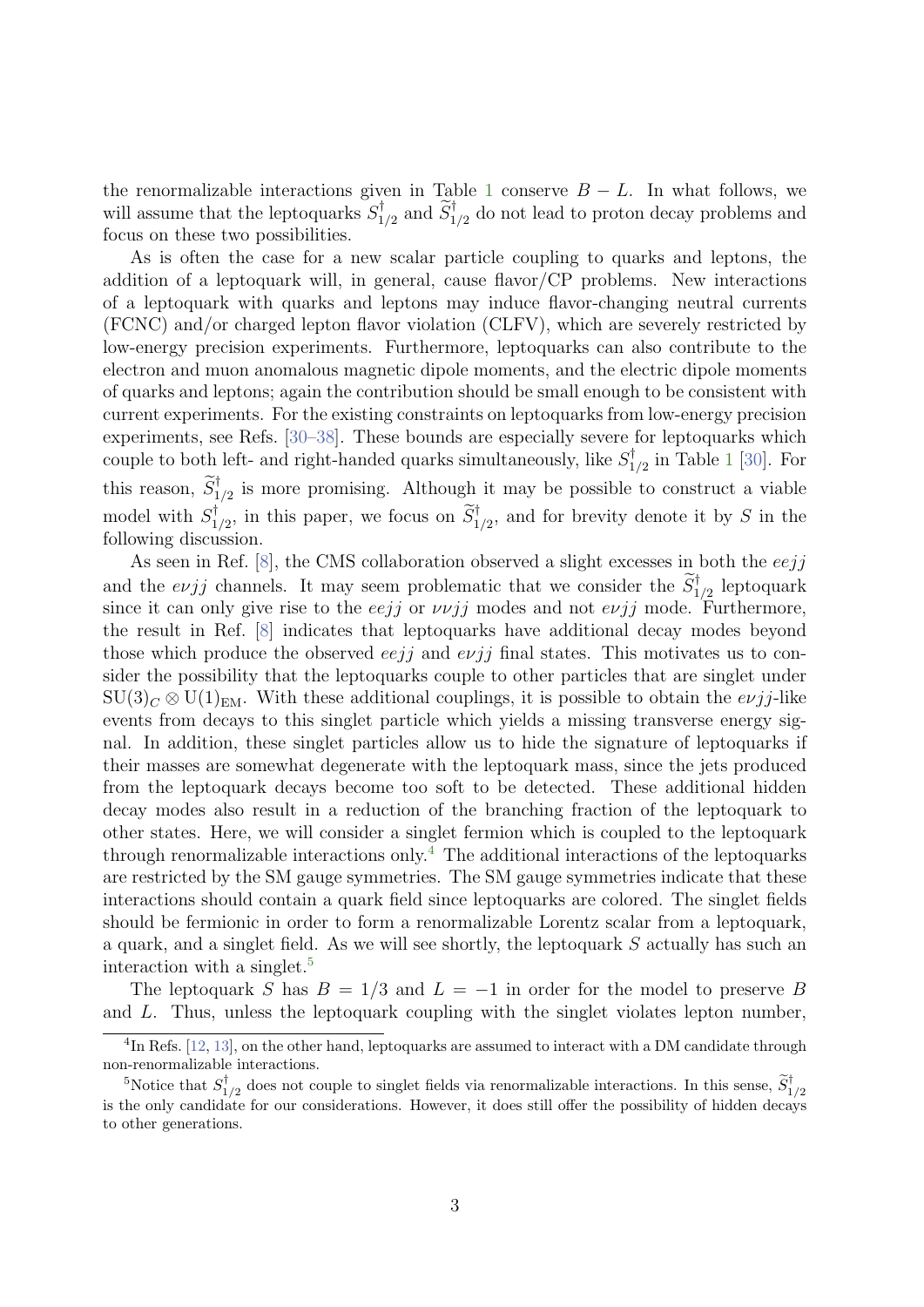the renormalizable interactions given in Table [1](#page-2-1) conserve  $B - L$ . In what follows, we will assume that the leptoquarks  $S_1^{\dagger}$  $\widetilde{S}_{1/2}^{\dagger}$  and  $\widetilde{S}_{1/2}^{\dagger}$  do not lead to proton decay problems and focus on these two possibilities.

As is often the case for a new scalar particle coupling to quarks and leptons, the addition of a leptoquark will, in general, cause flavor/CP problems. New interactions of a leptoquark with quarks and leptons may induce flavor-changing neutral currents (FCNC) and/or charged lepton flavor violation (CLFV), which are severely restricted by low-energy precision experiments. Furthermore, leptoquarks can also contribute to the electron and muon anomalous magnetic dipole moments, and the electric dipole moments of quarks and leptons; again the contribution should be small enough to be consistent with current experiments. For the existing constraints on leptoquarks from low-energy precision experiments, see Refs. [\[30–](#page-21-0)[38\]](#page-21-1). These bounds are especially severe for leptoquarks which couple to both left- and right-handed quarks simultaneously, like  $S_1^{\dagger}$  $_{1/2}^{\prime\prime}$  $_{1/2}^{\prime\prime}$  $_{1/2}^{\prime\prime}$  in Table 1 [\[30\]](#page-21-0). For this reason,  $\widetilde{S}_{1/2}^{\dagger}$  is more promising. Although it may be possible to construct a viable model with  $S_1^{\dagger}$  $\tilde{S}_{1/2}^{\dagger}$ , in this paper, we focus on  $\tilde{S}_{1/2}^{\dagger}$ , and for brevity denote it by S in the following discussion.

As seen in Ref.  $[8]$ , the CMS collaboration observed a slight excesses in both the *eejj* and the  $e\nu jj$  channels. It may seem problematic that we consider the  $\widetilde{S}_{1/2}^{\dagger}$  leptoquark since it can only give rise to the eejj or  $\nu \nu jj$  modes and not  $e\nu jj$  mode. Furthermore, the result in Ref. [\[8\]](#page-19-7) indicates that leptoquarks have additional decay modes beyond those which produce the observed eejj and  $evij$  final states. This motivates us to consider the possibility that the leptoquarks couple to other particles that are singlet under  $\text{SU}(3)_C \otimes \text{U}(1)_{\text{EM}}$ . With these additional couplings, it is possible to obtain the  $e\nu j j$ -like events from decays to this singlet particle which yields a missing transverse energy signal. In addition, these singlet particles allow us to hide the signature of leptoquarks if their masses are somewhat degenerate with the leptoquark mass, since the jets produced from the leptoquark decays become too soft to be detected. These additional hidden decay modes also result in a reduction of the branching fraction of the leptoquark to other states. Here, we will consider a singlet fermion which is coupled to the leptoquark through renormalizable interactions only.<sup>[4](#page-3-0)</sup> The additional interactions of the leptoquarks are restricted by the SM gauge symmetries. The SM gauge symmetries indicate that these interactions should contain a quark field since leptoquarks are colored. The singlet fields should be fermionic in order to form a renormalizable Lorentz scalar from a leptoquark, a quark, and a singlet field. As we will see shortly, the leptoquark S actually has such an interaction with a singlet.[5](#page-3-1)

The leptoquark S has  $B = 1/3$  and  $L = -1$  in order for the model to preserve B and L. Thus, unless the leptoquark coupling with the singlet violates lepton number,

<span id="page-3-0"></span><sup>&</sup>lt;sup>4</sup>In Refs. [\[12,](#page-19-11) [13\]](#page-19-12), on the other hand, leptoquarks are assumed to interact with a DM candidate through non-renormalizable interactions.

<span id="page-3-1"></span><sup>&</sup>lt;sup>5</sup>Notice that  $S_1^{\dagger}$  $\tilde{I}_{1/2}^{\dagger}$  does not couple to singlet fields via renormalizable interactions. In this sense,  $\tilde{S}_{1/2}^{\dagger}$ is the only candidate for our considerations. However, it does still offer the possibility of hidden decays to other generations.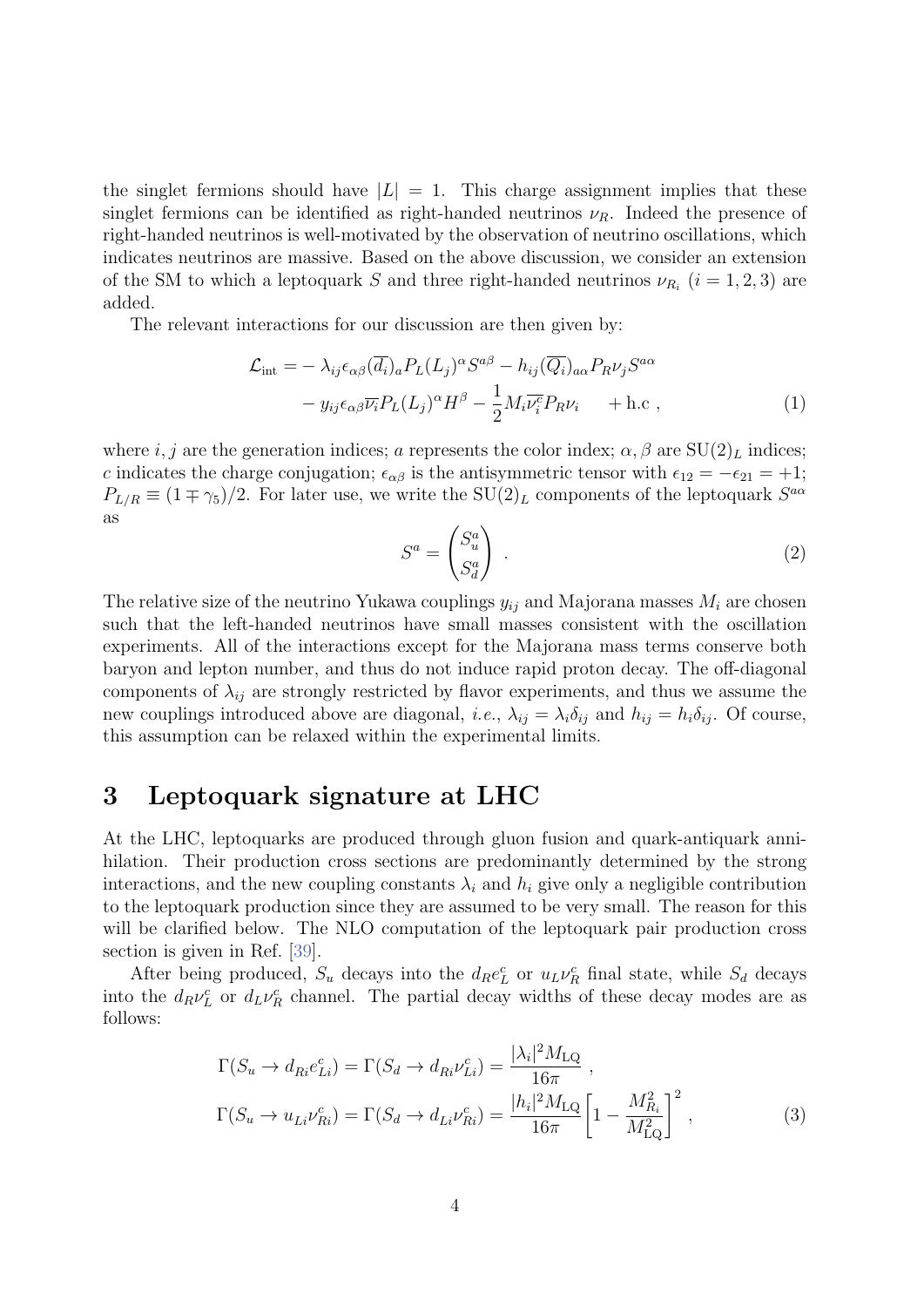the singlet fermions should have  $|L| = 1$ . This charge assignment implies that these singlet fermions can be identified as right-handed neutrinos  $\nu_R$ . Indeed the presence of right-handed neutrinos is well-motivated by the observation of neutrino oscillations, which indicates neutrinos are massive. Based on the above discussion, we consider an extension of the SM to which a leptoquark S and three right-handed neutrinos  $\nu_{R_i}$   $(i = 1, 2, 3)$  are added.

The relevant interactions for our discussion are then given by:

$$
\mathcal{L}_{int} = -\lambda_{ij} \epsilon_{\alpha\beta} (\overline{d_i})_a P_L(L_j)^{\alpha} S^{a\beta} - h_{ij} (\overline{Q_i})_{a\alpha} P_R \nu_j S^{a\alpha} \n- y_{ij} \epsilon_{\alpha\beta} \overline{\nu_i} P_L(L_j)^{\alpha} H^{\beta} - \frac{1}{2} M_i \overline{\nu_i}^c P_R \nu_i + \text{h.c} ,
$$
\n(1)

where i, j are the generation indices; a represents the color index;  $\alpha$ ,  $\beta$  are  $SU(2)_L$  indices; c indicates the charge conjugation;  $\epsilon_{\alpha\beta}$  is the antisymmetric tensor with  $\epsilon_{12} = -\epsilon_{21} = +1$ ;  $P_{L/R} \equiv (1 \mp \gamma_5)/2$ . For later use, we write the SU(2)<sub>L</sub> components of the leptoquark  $S^{a\alpha}$ as

$$
S^a = \begin{pmatrix} S_u^a \\ S_d^a \end{pmatrix} . \tag{2}
$$

The relative size of the neutrino Yukawa couplings  $y_{ij}$  and Majorana masses  $M_i$  are chosen such that the left-handed neutrinos have small masses consistent with the oscillation experiments. All of the interactions except for the Majorana mass terms conserve both baryon and lepton number, and thus do not induce rapid proton decay. The off-diagonal components of  $\lambda_{ij}$  are strongly restricted by flavor experiments, and thus we assume the new couplings introduced above are diagonal, *i.e.*,  $\lambda_{ij} = \lambda_i \delta_{ij}$  and  $h_{ij} = h_i \delta_{ij}$ . Of course, this assumption can be relaxed within the experimental limits.

### 3 Leptoquark signature at LHC

At the LHC, leptoquarks are produced through gluon fusion and quark-antiquark annihilation. Their production cross sections are predominantly determined by the strong interactions, and the new coupling constants  $\lambda_i$  and  $h_i$  give only a negligible contribution to the leptoquark production since they are assumed to be very small. The reason for this will be clarified below. The NLO computation of the leptoquark pair production cross section is given in Ref. [\[39\]](#page-21-2).

After being produced,  $S_u$  decays into the  $d_R e_L^c$  or  $u_L \nu_R^c$  final state, while  $S_d$  decays into the  $d_R \nu_L^c$  or  $d_L \nu_R^c$  channel. The partial decay widths of these decay modes are as follows:

$$
\Gamma(S_u \to d_{Ri}e_{Li}^c) = \Gamma(S_d \to d_{Ri}\nu_{Li}^c) = \frac{|\lambda_i|^2 M_{\text{LQ}}}{16\pi} ,
$$
  
\n
$$
\Gamma(S_u \to u_{Li}\nu_{Ri}^c) = \Gamma(S_d \to d_{Li}\nu_{Ri}^c) = \frac{|h_i|^2 M_{\text{LQ}}}{16\pi} \left[1 - \frac{M_{R_i}^2}{M_{\text{LQ}}^2}\right]^2 ,
$$
\n(3)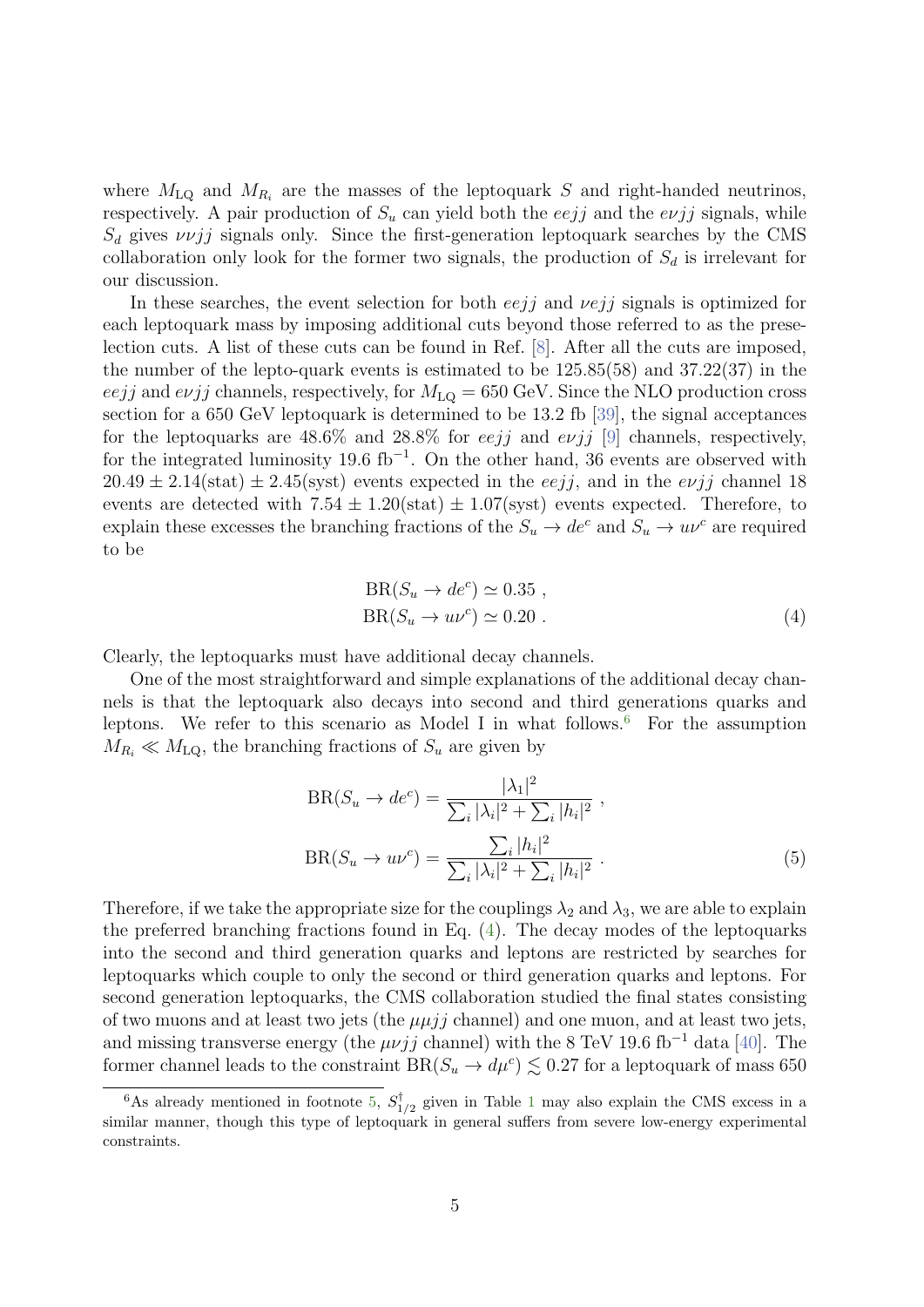where  $M_{\text{LQ}}$  and  $M_{R_i}$  are the masses of the leptoquark S and right-handed neutrinos, respectively. A pair production of  $S_u$  can yield both the every and the every signals, while  $S_d$  gives  $\nu \nu j j$  signals only. Since the first-generation leptoquark searches by the CMS collaboration only look for the former two signals, the production of  $S_d$  is irrelevant for our discussion.

In these searches, the event selection for both  $eejj$  and  $vejj$  signals is optimized for each leptoquark mass by imposing additional cuts beyond those referred to as the preselection cuts. A list of these cuts can be found in Ref. [\[8\]](#page-19-7). After all the cuts are imposed, the number of the lepto-quark events is estimated to be 125.85(58) and 37.22(37) in the eejj and evjj channels, respectively, for  $M_{\text{LQ}} = 650 \text{ GeV}$ . Since the NLO production cross section for a 650 GeV leptoquark is determined to be 13.2 fb [\[39\]](#page-21-2), the signal acceptances for the leptoquarks are  $48.6\%$  and  $28.8\%$  for *eejj* and *evjj* [\[9\]](#page-19-8) channels, respectively, for the integrated luminosity 19.6 fb<sup>-1</sup>. On the other hand, 36 events are observed with  $20.49 \pm 2.14$ (stat)  $\pm 2.45$ (syst) events expected in the *eejj*, and in the *evjj* channel 18 events are detected with  $7.54 \pm 1.20$ (stat)  $\pm 1.07$ (syst) events expected. Therefore, to explain these excesses the branching fractions of the  $S_u \to de^c$  and  $S_u \to u^c$  are required to be

<span id="page-5-1"></span>
$$
BR(S_u \to de^c) \simeq 0.35 ,
$$
  
\n
$$
BR(S_u \to u\nu^c) \simeq 0.20 .
$$
\n(4)

Clearly, the leptoquarks must have additional decay channels.

One of the most straightforward and simple explanations of the additional decay channels is that the leptoquark also decays into second and third generations quarks and leptons. We refer to this scenario as Model I in what follows.<sup>[6](#page-5-0)</sup> For the assumption  $M_{R_i} \ll M_{LQ}$ , the branching fractions of  $S_u$  are given by

$$
BR(S_u \to de^c) = \frac{|\lambda_1|^2}{\sum_i |\lambda_i|^2 + \sum_i |h_i|^2} ,
$$
  

$$
BR(S_u \to u\nu^c) = \frac{\sum_i |h_i|^2}{\sum_i |\lambda_i|^2 + \sum_i |h_i|^2} .
$$
 (5)

Therefore, if we take the appropriate size for the couplings  $\lambda_2$  and  $\lambda_3$ , we are able to explain the preferred branching fractions found in Eq. [\(4\)](#page-5-1). The decay modes of the leptoquarks into the second and third generation quarks and leptons are restricted by searches for leptoquarks which couple to only the second or third generation quarks and leptons. For second generation leptoquarks, the CMS collaboration studied the final states consisting of two muons and at least two jets (the  $\mu \mu j j$  channel) and one muon, and at least two jets, and missing transverse energy (the  $\mu \nu j j$  channel) with the 8 TeV 19.6 fb<sup>-1</sup> data [\[40\]](#page-21-3). The former channel leads to the constraint  $BR(S_u \to d\mu^c) \lesssim 0.27$  for a leptoquark of mass 650

<span id="page-5-0"></span><sup>&</sup>lt;sup>6</sup>As already mentioned in footnote [5,](#page-3-1)  $S_1^{\dagger}$  $_{1/2}^{1}$  $_{1/2}^{1}$  $_{1/2}^{1}$  given in Table 1 may also explain the CMS excess in a similar manner, though this type of leptoquark in general suffers from severe low-energy experimental constraints.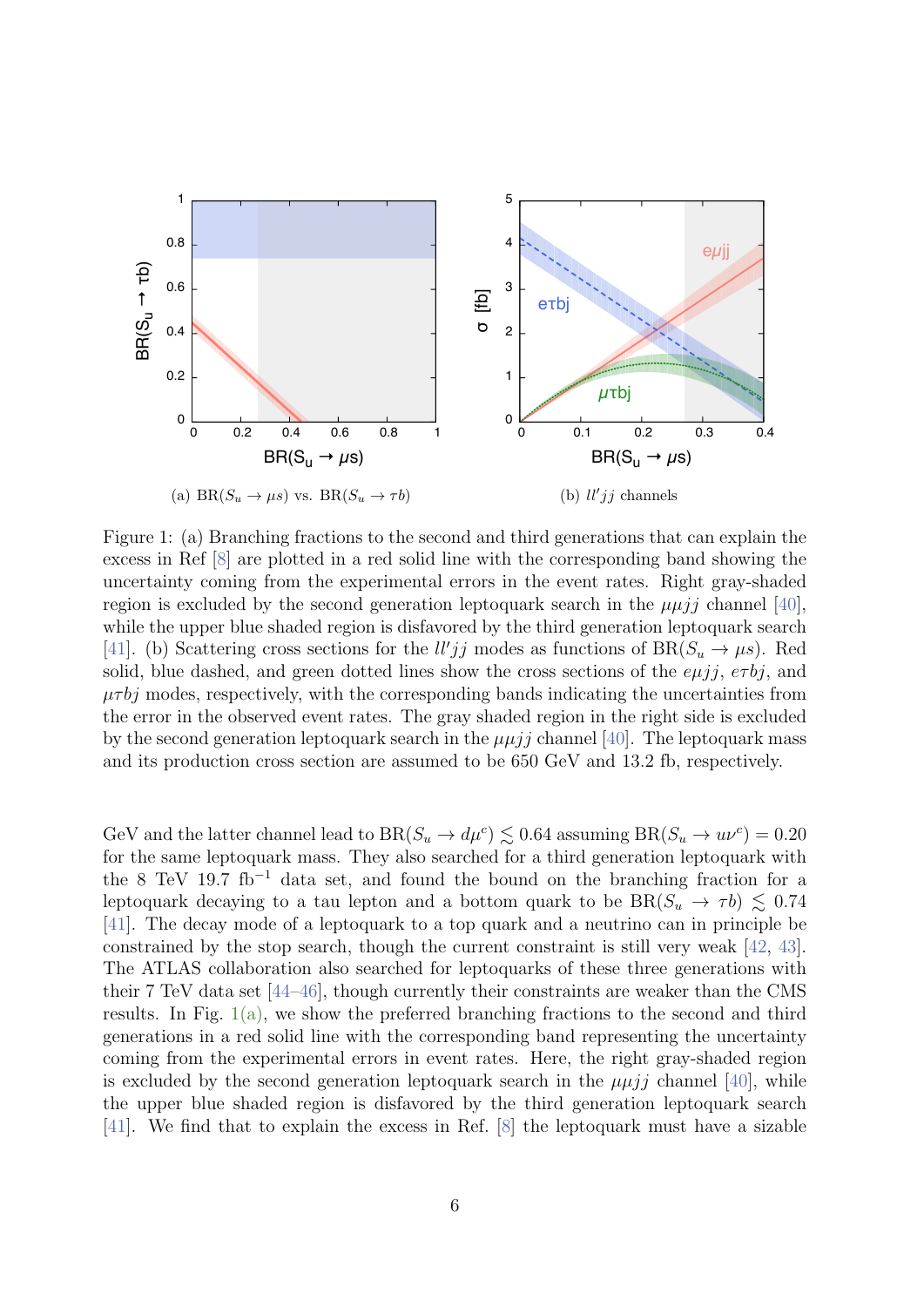<span id="page-6-0"></span>

<span id="page-6-1"></span>Figure 1: (a) Branching fractions to the second and third generations that can explain the excess in Ref [8] are plotted in a red solid line with the corresponding band showing the uncertainty coming from the experimental errors in the event rates. Right gray-shaded region is excluded by the second generation leptoquark search in the  $\mu \mu i j$  channel [40], while the upper blue shaded region is disfavored by the third generation leptoquark search [41]. (b) Scattering cross sections for the  $ll'jj$  modes as functions of BR( $S_u \rightarrow \mu s$ ). Red solid, blue dashed, and green dotted lines show the cross sections of the  $e\mu i j$ ,  $e\tau b j$ , and  $\mu\tau b\eta$  modes, respectively, with the corresponding bands indicating the uncertainties from the error in the observed event rates. The gray shaded region in the right side is excluded by the second generation leptoquark search in the  $\mu \mu i j$  channel [40]. The leptoquark mass and its production cross section are assumed to be 650 GeV and 13.2 fb, respectively.

GeV and the latter channel lead to  $BR(S_u \to d\mu^c) \lesssim 0.64$  assuming  $BR(S_u \to u\nu^c) = 0.20$ for the same leptoquark mass. They also searched for a third generation leptoquark with the 8 TeV 19.7 fb<sup>-1</sup> data set, and found the bound on the branching fraction for a leptoquark decaying to a tau lepton and a bottom quark to be  $BR(S_u \rightarrow \tau b) \lesssim 0.74$  $[41]$ . The decay mode of a leptoquark to a top quark and a neutrino can in principle be constrained by the stop search, though the current constraint is still very weak  $[42, 43]$ . The ATLAS collaboration also searched for leptoquarks of these three generations with their 7 TeV data set [44–46], though currently their constraints are weaker than the CMS results. In Fig.  $1(a)$ , we show the preferred branching fractions to the second and third generations in a red solid line with the corresponding band representing the uncertainty coming from the experimental errors in event rates. Here, the right gray-shaded region is excluded by the second generation leptoquark search in the  $\mu\mu i\dot{\jmath}$  channel [40], while the upper blue shaded region is disfavored by the third generation leptoquark search [41]. We find that to explain the excess in Ref. [8] the leptoquark must have a sizable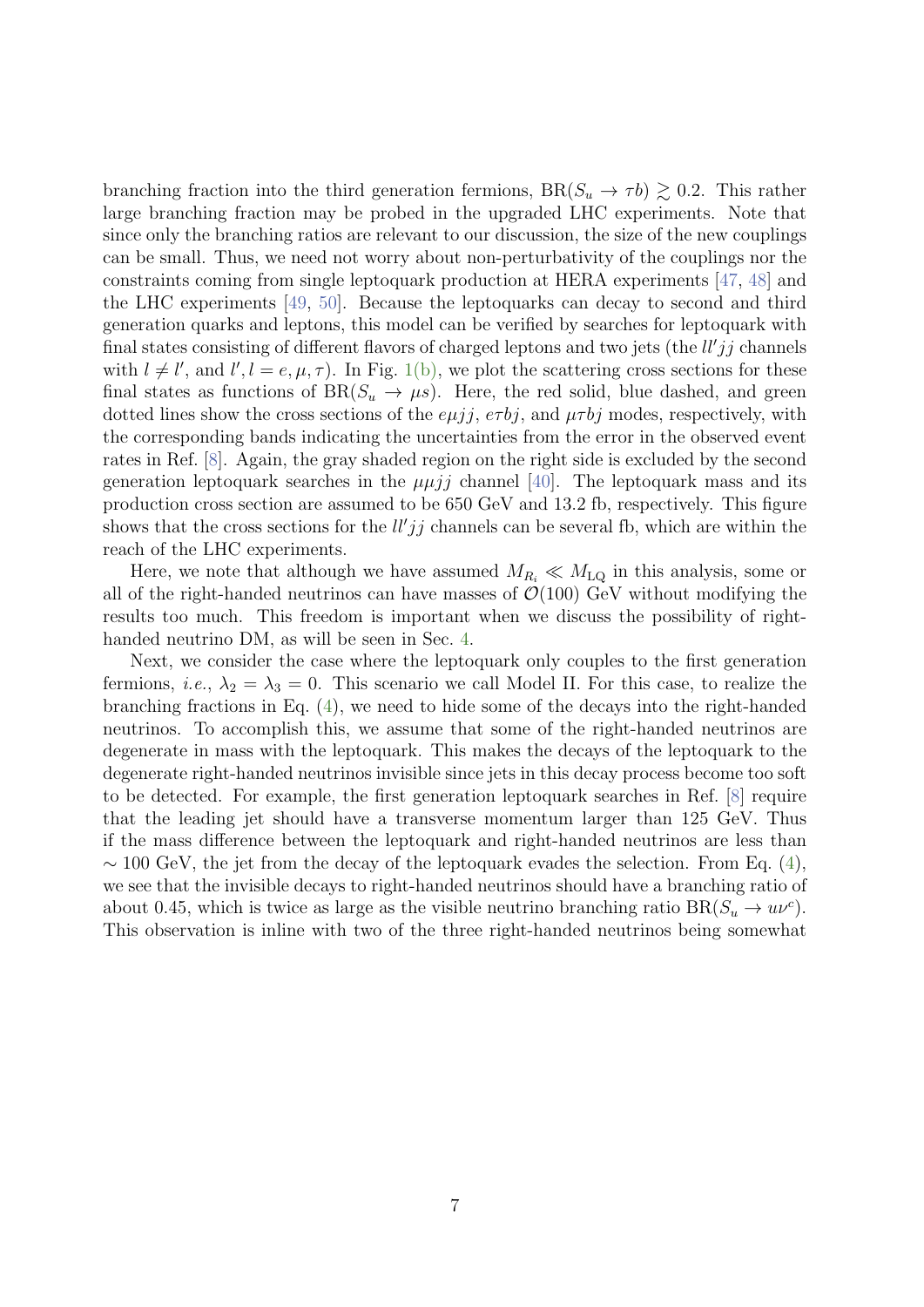branching fraction into the third generation fermions,  $BR(S_u \to \tau b) \gtrsim 0.2$ . This rather large branching fraction may be probed in the upgraded LHC experiments. Note that since only the branching ratios are relevant to our discussion, the size of the new couplings can be small. Thus, we need not worry about non-perturbativity of the couplings nor the constraints coming from single leptoquark production at HERA experiments [\[47,](#page-22-1) [48\]](#page-22-2) and the LHC experiments [\[49,](#page-22-3) [50\]](#page-22-4). Because the leptoquarks can decay to second and third generation quarks and leptons, this model can be verified by searches for leptoquark with final states consisting of different flavors of charged leptons and two jets (the  $ll'jj$  channels with  $l \neq l'$ , and  $l', l = e, \mu, \tau$ ). In Fig. [1\(b\),](#page-6-1) we plot the scattering cross sections for these final states as functions of  $BR(S_u \to \mu s)$ . Here, the red solid, blue dashed, and green dotted lines show the cross sections of the  $e\mu j j$ ,  $e\tau bj$ , and  $\mu\tau bj$  modes, respectively, with the corresponding bands indicating the uncertainties from the error in the observed event rates in Ref. [\[8\]](#page-19-7). Again, the gray shaded region on the right side is excluded by the second generation leptoquark searches in the  $\mu \mu i j$  channel [\[40\]](#page-21-3). The leptoquark mass and its production cross section are assumed to be 650 GeV and 13.2 fb, respectively. This figure shows that the cross sections for the  $ll'jj$  channels can be several fb, which are within the reach of the LHC experiments.

Here, we note that although we have assumed  $M_{R_i} \ll M_{LQ}$  in this analysis, some or all of the right-handed neutrinos can have masses of  $\mathcal{O}(100)$  GeV without modifying the results too much. This freedom is important when we discuss the possibility of righthanded neutrino DM, as will be seen in Sec. [4.](#page-8-0)

Next, we consider the case where the leptoquark only couples to the first generation fermions, *i.e.*,  $\lambda_2 = \lambda_3 = 0$ . This scenario we call Model II. For this case, to realize the branching fractions in Eq. [\(4\)](#page-5-1), we need to hide some of the decays into the right-handed neutrinos. To accomplish this, we assume that some of the right-handed neutrinos are degenerate in mass with the leptoquark. This makes the decays of the leptoquark to the degenerate right-handed neutrinos invisible since jets in this decay process become too soft to be detected. For example, the first generation leptoquark searches in Ref. [\[8\]](#page-19-7) require that the leading jet should have a transverse momentum larger than 125 GeV. Thus if the mass difference between the leptoquark and right-handed neutrinos are less than  $\sim$  100 GeV, the jet from the decay of the leptoquark evades the selection. From Eq. [\(4\)](#page-5-1), we see that the invisible decays to right-handed neutrinos should have a branching ratio of about 0.45, which is twice as large as the visible neutrino branching ratio  $BR(S_u \to u\nu^c)$ . This observation is inline with two of the three right-handed neutrinos being somewhat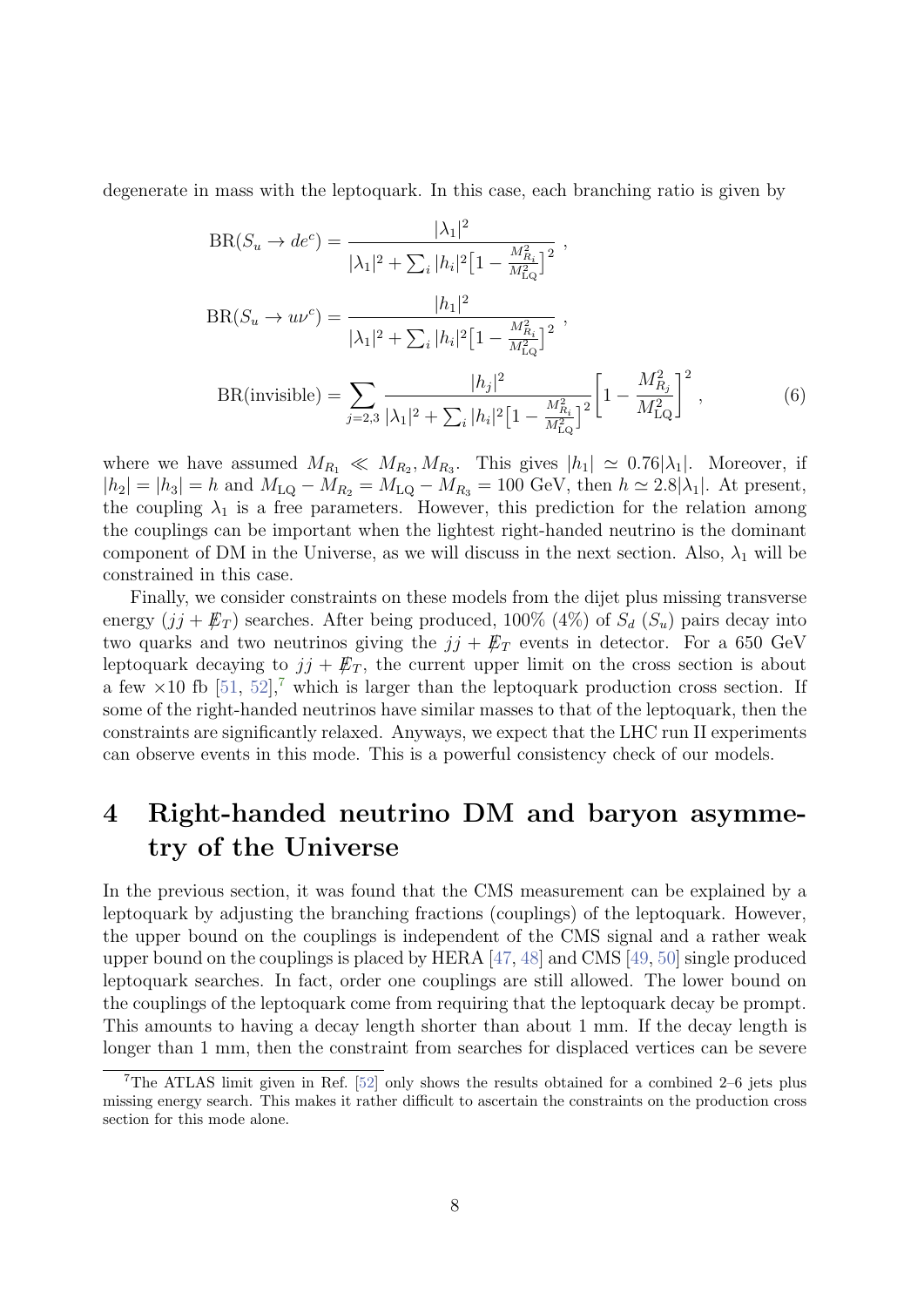degenerate in mass with the leptoquark. In this case, each branching ratio is given by

$$
BR(S_u \to de^c) = \frac{|\lambda_1|^2}{|\lambda_1|^2 + \sum_i |h_i|^2 \left[1 - \frac{M_{R_i}^2}{M_{LQ}^2}\right]^2},
$$
  
\n
$$
BR(S_u \to u\nu^c) = \frac{|h_1|^2}{|\lambda_1|^2 + \sum_i |h_i|^2 \left[1 - \frac{M_{R_i}^2}{M_{LQ}^2}\right]^2},
$$
  
\n
$$
BR(invisible) = \sum_{j=2,3} \frac{|h_j|^2}{|\lambda_1|^2 + \sum_i |h_i|^2 \left[1 - \frac{M_{R_i}^2}{M_{LQ}^2}\right]^2} \left[1 - \frac{M_{R_j}^2}{M_{LQ}^2}\right]^2,
$$
\n(6)

where we have assumed  $M_{R_1} \ll M_{R_2}, M_{R_3}$ . This gives  $|h_1| \simeq 0.76|\lambda_1|$ . Moreover, if  $|h_2| = |h_3| = h$  and  $M_{LQ} - M_{R_2} = M_{LQ} - M_{R_3} = 100$  GeV, then  $h \approx 2.8|\lambda_1|$ . At present, the coupling  $\lambda_1$  is a free parameters. However, this prediction for the relation among the couplings can be important when the lightest right-handed neutrino is the dominant component of DM in the Universe, as we will discuss in the next section. Also,  $\lambda_1$  will be constrained in this case.

Finally, we consider constraints on these models from the dijet plus missing transverse energy  $(j + \not\mathbb{E}_T)$  searches. After being produced, 100% (4%) of  $S_d$  ( $S_u$ ) pairs decay into two quarks and two neutrinos giving the  $jj + \not{E}_T$  events in detector. For a 650 GeV leptoquark decaying to  $jj + \not\!\!E_T$ , the current upper limit on the cross section is about a few  $\times$ 10 fb [\[51,](#page-22-5) [52\]](#page-22-6),<sup>[7](#page-8-1)</sup> which is larger than the leptoquark production cross section. If some of the right-handed neutrinos have similar masses to that of the leptoquark, then the constraints are significantly relaxed. Anyways, we expect that the LHC run II experiments can observe events in this mode. This is a powerful consistency check of our models.

# <span id="page-8-0"></span>4 Right-handed neutrino DM and baryon asymmetry of the Universe

In the previous section, it was found that the CMS measurement can be explained by a leptoquark by adjusting the branching fractions (couplings) of the leptoquark. However, the upper bound on the couplings is independent of the CMS signal and a rather weak upper bound on the couplings is placed by HERA [\[47,](#page-22-1) [48\]](#page-22-2) and CMS [\[49,](#page-22-3) [50\]](#page-22-4) single produced leptoquark searches. In fact, order one couplings are still allowed. The lower bound on the couplings of the leptoquark come from requiring that the leptoquark decay be prompt. This amounts to having a decay length shorter than about 1 mm. If the decay length is longer than 1 mm, then the constraint from searches for displaced vertices can be severe

<span id="page-8-1"></span><sup>7</sup>The ATLAS limit given in Ref. [\[52\]](#page-22-6) only shows the results obtained for a combined 2–6 jets plus missing energy search. This makes it rather difficult to ascertain the constraints on the production cross section for this mode alone.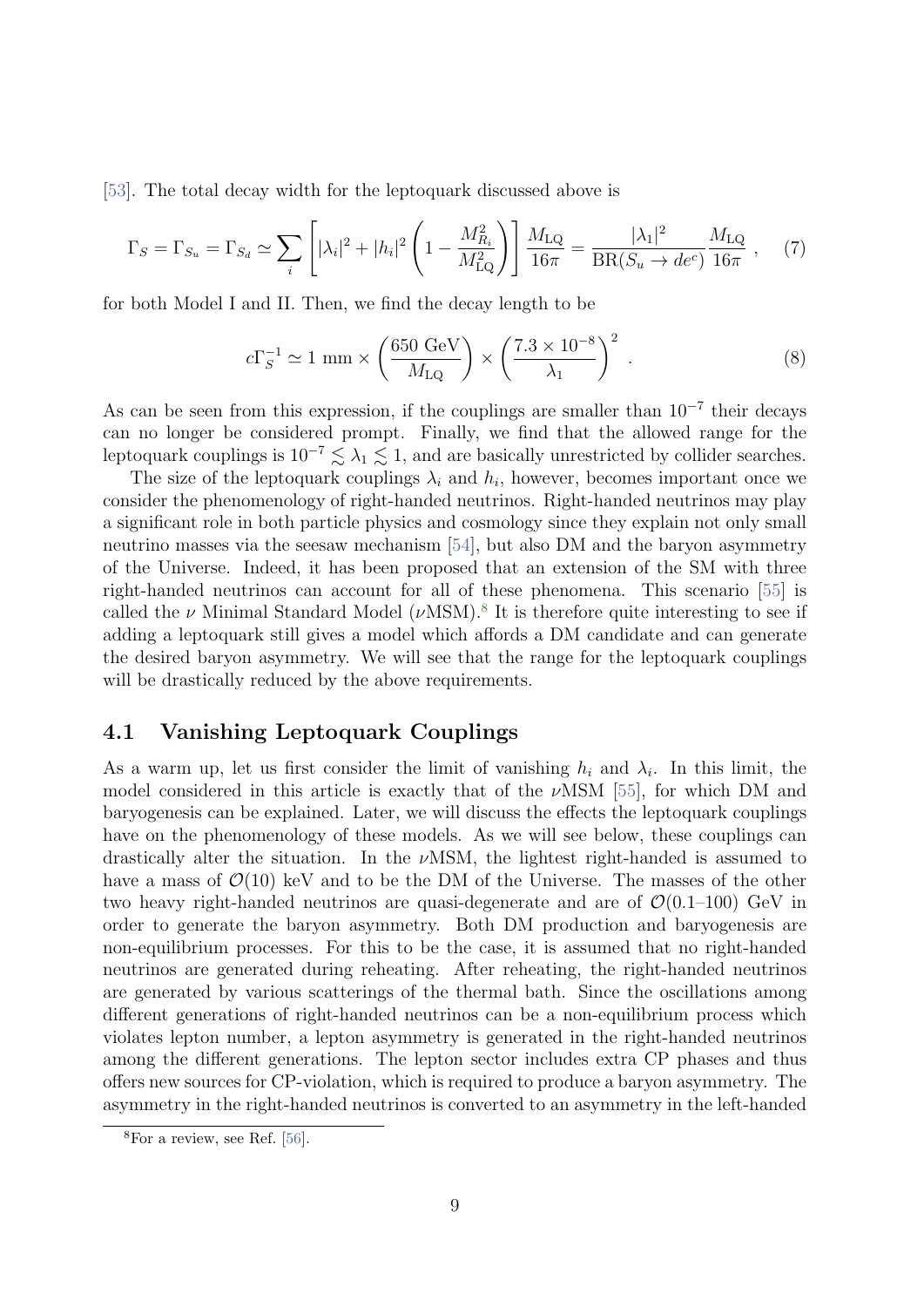[\[53\]](#page-22-7). The total decay width for the leptoquark discussed above is

$$
\Gamma_S = \Gamma_{S_u} = \Gamma_{S_d} \simeq \sum_i \left[ |\lambda_i|^2 + |h_i|^2 \left( 1 - \frac{M_{R_i}^2}{M_{\text{LQ}}^2} \right) \right] \frac{M_{\text{LQ}}}{16\pi} = \frac{|\lambda_1|^2}{\text{BR}(S_u \to de^c)} \frac{M_{\text{LQ}}}{16\pi} \,, \tag{7}
$$

for both Model I and II. Then, we find the decay length to be

$$
c\Gamma_S^{-1} \simeq 1 \text{ mm} \times \left(\frac{650 \text{ GeV}}{M_{\text{LQ}}}\right) \times \left(\frac{7.3 \times 10^{-8}}{\lambda_1}\right)^2 \,. \tag{8}
$$

As can be seen from this expression, if the couplings are smaller than  $10^{-7}$  their decays can no longer be considered prompt. Finally, we find that the allowed range for the leptoquark couplings is  $10^{-7} \lesssim \lambda_1 \lesssim 1$ , and are basically unrestricted by collider searches.

The size of the leptoquark couplings  $\lambda_i$  and  $h_i$ , however, becomes important once we consider the phenomenology of right-handed neutrinos. Right-handed neutrinos may play a significant role in both particle physics and cosmology since they explain not only small neutrino masses via the seesaw mechanism [\[54\]](#page-22-8), but also DM and the baryon asymmetry of the Universe. Indeed, it has been proposed that an extension of the SM with three right-handed neutrinos can account for all of these phenomena. This scenario [\[55\]](#page-23-0) is called the  $\nu$  Minimal Standard Model ( $\nu$ MSM).<sup>[8](#page-9-0)</sup> It is therefore quite interesting to see if adding a leptoquark still gives a model which affords a DM candidate and can generate the desired baryon asymmetry. We will see that the range for the leptoquark couplings will be drastically reduced by the above requirements.

#### 4.1 Vanishing Leptoquark Couplings

As a warm up, let us first consider the limit of vanishing  $h_i$  and  $\lambda_i$ . In this limit, the model considered in this article is exactly that of the  $\nu$ MSM [\[55\]](#page-23-0), for which DM and baryogenesis can be explained. Later, we will discuss the effects the leptoquark couplings have on the phenomenology of these models. As we will see below, these couplings can drastically alter the situation. In the  $\nu$ MSM, the lightest right-handed is assumed to have a mass of  $\mathcal{O}(10)$  keV and to be the DM of the Universe. The masses of the other two heavy right-handed neutrinos are quasi-degenerate and are of  $\mathcal{O}(0.1-100)$  GeV in order to generate the baryon asymmetry. Both DM production and baryogenesis are non-equilibrium processes. For this to be the case, it is assumed that no right-handed neutrinos are generated during reheating. After reheating, the right-handed neutrinos are generated by various scatterings of the thermal bath. Since the oscillations among different generations of right-handed neutrinos can be a non-equilibrium process which violates lepton number, a lepton asymmetry is generated in the right-handed neutrinos among the different generations. The lepton sector includes extra CP phases and thus offers new sources for CP-violation, which is required to produce a baryon asymmetry. The asymmetry in the right-handed neutrinos is converted to an asymmetry in the left-handed

<span id="page-9-0"></span> $8$ For a review, see Ref. [\[56\]](#page-23-1).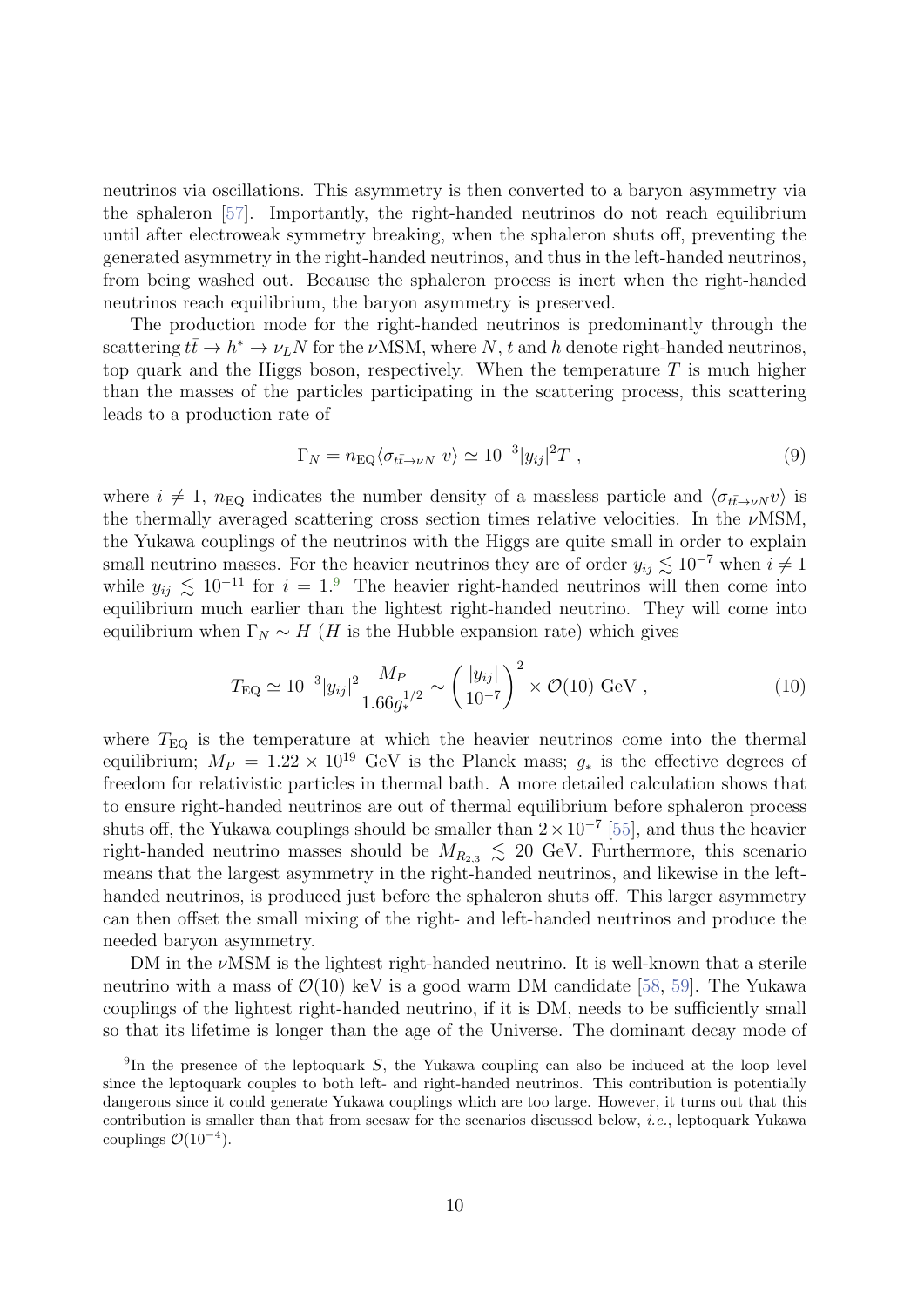neutrinos via oscillations. This asymmetry is then converted to a baryon asymmetry via the sphaleron [\[57\]](#page-23-2). Importantly, the right-handed neutrinos do not reach equilibrium until after electroweak symmetry breaking, when the sphaleron shuts off, preventing the generated asymmetry in the right-handed neutrinos, and thus in the left-handed neutrinos, from being washed out. Because the sphaleron process is inert when the right-handed neutrinos reach equilibrium, the baryon asymmetry is preserved.

The production mode for the right-handed neutrinos is predominantly through the scattering  $t\bar{t} \to h^* \to \nu_L N$  for the  $\nu$ MSM, where N, t and h denote right-handed neutrinos, top quark and the Higgs boson, respectively. When the temperature  $T$  is much higher than the masses of the particles participating in the scattering process, this scattering leads to a production rate of

$$
\Gamma_N = n_{\text{EQ}} \langle \sigma_{t\bar{t}\to\nu N} v \rangle \simeq 10^{-3} |y_{ij}|^2 T , \qquad (9)
$$

where  $i \neq 1$ ,  $n_{\text{EQ}}$  indicates the number density of a massless particle and  $\langle \sigma_{t\bar{t}\to\nu N}v \rangle$  is the thermally averaged scattering cross section times relative velocities. In the  $\nu$ MSM, the Yukawa couplings of the neutrinos with the Higgs are quite small in order to explain small neutrino masses. For the heavier neutrinos they are of order  $y_{ij} \lesssim 10^{-7}$  when  $i \neq 1$ while  $y_{ij} \lesssim 10^{-11}$  for  $i = 1.9$  $i = 1.9$  The heavier right-handed neutrinos will then come into equilibrium much earlier than the lightest right-handed neutrino. They will come into equilibrium when  $\Gamma_N \sim H$  (H is the Hubble expansion rate) which gives

$$
T_{\rm EQ} \simeq 10^{-3} |y_{ij}|^2 \frac{M_P}{1.66 g_*^{1/2}} \sim \left(\frac{|y_{ij}|}{10^{-7}}\right)^2 \times \mathcal{O}(10) \text{ GeV},\tag{10}
$$

where  $T_{\text{EQ}}$  is the temperature at which the heavier neutrinos come into the thermal equilibrium;  $M_P = 1.22 \times 10^{19}$  GeV is the Planck mass;  $g_*$  is the effective degrees of freedom for relativistic particles in thermal bath. A more detailed calculation shows that to ensure right-handed neutrinos are out of thermal equilibrium before sphaleron process shuts off, the Yukawa couplings should be smaller than  $2 \times 10^{-7}$  [\[55\]](#page-23-0), and thus the heavier right-handed neutrino masses should be  $M_{R_{2,3}} \lesssim 20$  GeV. Furthermore, this scenario means that the largest asymmetry in the right-handed neutrinos, and likewise in the lefthanded neutrinos, is produced just before the sphaleron shuts off. This larger asymmetry can then offset the small mixing of the right- and left-handed neutrinos and produce the needed baryon asymmetry.

DM in the  $\nu$ MSM is the lightest right-handed neutrino. It is well-known that a sterile neutrino with a mass of  $\mathcal{O}(10)$  keV is a good warm DM candidate [\[58,](#page-23-3) [59\]](#page-23-4). The Yukawa couplings of the lightest right-handed neutrino, if it is DM, needs to be sufficiently small so that its lifetime is longer than the age of the Universe. The dominant decay mode of

<span id="page-10-0"></span><sup>&</sup>lt;sup>9</sup>In the presence of the leptoquark S, the Yukawa coupling can also be induced at the loop level since the leptoquark couples to both left- and right-handed neutrinos. This contribution is potentially dangerous since it could generate Yukawa couplings which are too large. However, it turns out that this contribution is smaller than that from seesaw for the scenarios discussed below, i.e., leptoquark Yukawa couplings  $\mathcal{O}(10^{-4})$ .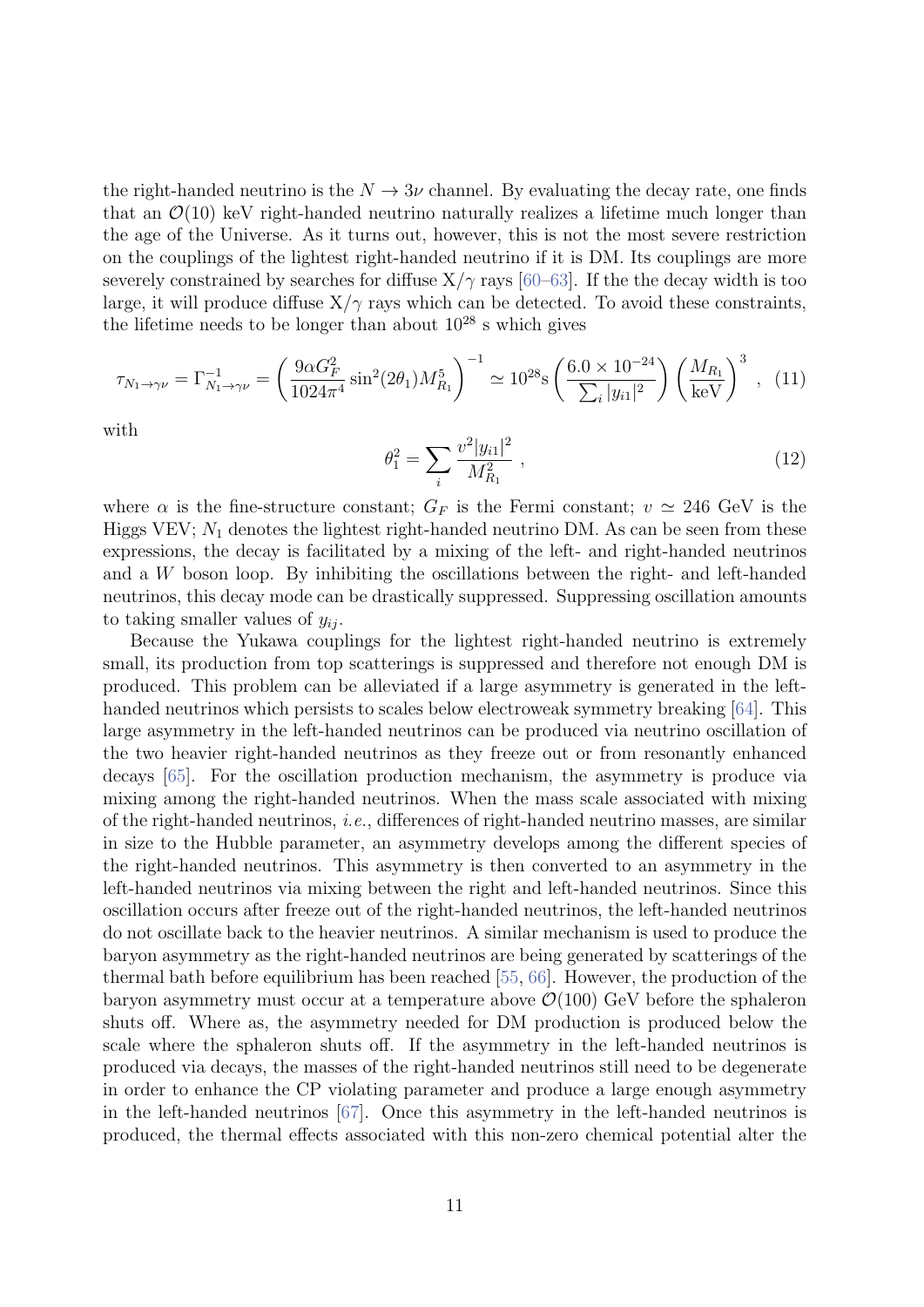the right-handed neutrino is the  $N \to 3\nu$  channel. By evaluating the decay rate, one finds that an  $\mathcal{O}(10)$  keV right-handed neutrino naturally realizes a lifetime much longer than the age of the Universe. As it turns out, however, this is not the most severe restriction on the couplings of the lightest right-handed neutrino if it is DM. Its couplings are more severely constrained by searches for diffuse  $X/\gamma$  rays [\[60–](#page-23-5)[63\]](#page-23-6). If the the decay width is too large, it will produce diffuse  $X/\gamma$  rays which can be detected. To avoid these constraints, the lifetime needs to be longer than about  $10^{28}$  s which gives

$$
\tau_{N_1 \to \gamma \nu} = \Gamma_{N_1 \to \gamma \nu}^{-1} = \left(\frac{9\alpha G_F^2}{1024\pi^4} \sin^2(2\theta_1) M_{R_1}^5\right)^{-1} \simeq 10^{28} \text{s} \left(\frac{6.0 \times 10^{-24}}{\sum_i |y_{i1}|^2}\right) \left(\frac{M_{R_1}}{\text{keV}}\right)^3 \,,\tag{11}
$$

with

$$
\theta_1^2 = \sum_i \frac{v^2 |y_{i1}|^2}{M_{R_1}^2} \,, \tag{12}
$$

where  $\alpha$  is the fine-structure constant;  $G_F$  is the Fermi constant;  $v \simeq 246$  GeV is the Higgs VEV;  $N_1$  denotes the lightest right-handed neutrino DM. As can be seen from these expressions, the decay is facilitated by a mixing of the left- and right-handed neutrinos and a W boson loop. By inhibiting the oscillations between the right- and left-handed neutrinos, this decay mode can be drastically suppressed. Suppressing oscillation amounts to taking smaller values of  $y_{ii}$ .

Because the Yukawa couplings for the lightest right-handed neutrino is extremely small, its production from top scatterings is suppressed and therefore not enough DM is produced. This problem can be alleviated if a large asymmetry is generated in the lefthanded neutrinos which persists to scales below electroweak symmetry breaking [\[64\]](#page-23-7). This large asymmetry in the left-handed neutrinos can be produced via neutrino oscillation of the two heavier right-handed neutrinos as they freeze out or from resonantly enhanced decays [\[65\]](#page-23-8). For the oscillation production mechanism, the asymmetry is produce via mixing among the right-handed neutrinos. When the mass scale associated with mixing of the right-handed neutrinos, i.e., differences of right-handed neutrino masses, are similar in size to the Hubble parameter, an asymmetry develops among the different species of the right-handed neutrinos. This asymmetry is then converted to an asymmetry in the left-handed neutrinos via mixing between the right and left-handed neutrinos. Since this oscillation occurs after freeze out of the right-handed neutrinos, the left-handed neutrinos do not oscillate back to the heavier neutrinos. A similar mechanism is used to produce the baryon asymmetry as the right-handed neutrinos are being generated by scatterings of the thermal bath before equilibrium has been reached [\[55,](#page-23-9) [66\]](#page-24-0). However, the production of the baryon asymmetry must occur at a temperature above  $\mathcal{O}(100)$  GeV before the sphaleron shuts off. Where as, the asymmetry needed for DM production is produced below the scale where the sphaleron shuts off. If the asymmetry in the left-handed neutrinos is produced via decays, the masses of the right-handed neutrinos still need to be degenerate in order to enhance the CP violating parameter and produce a large enough asymmetry in the left-handed neutrinos [\[67\]](#page-24-1). Once this asymmetry in the left-handed neutrinos is produced, the thermal effects associated with this non-zero chemical potential alter the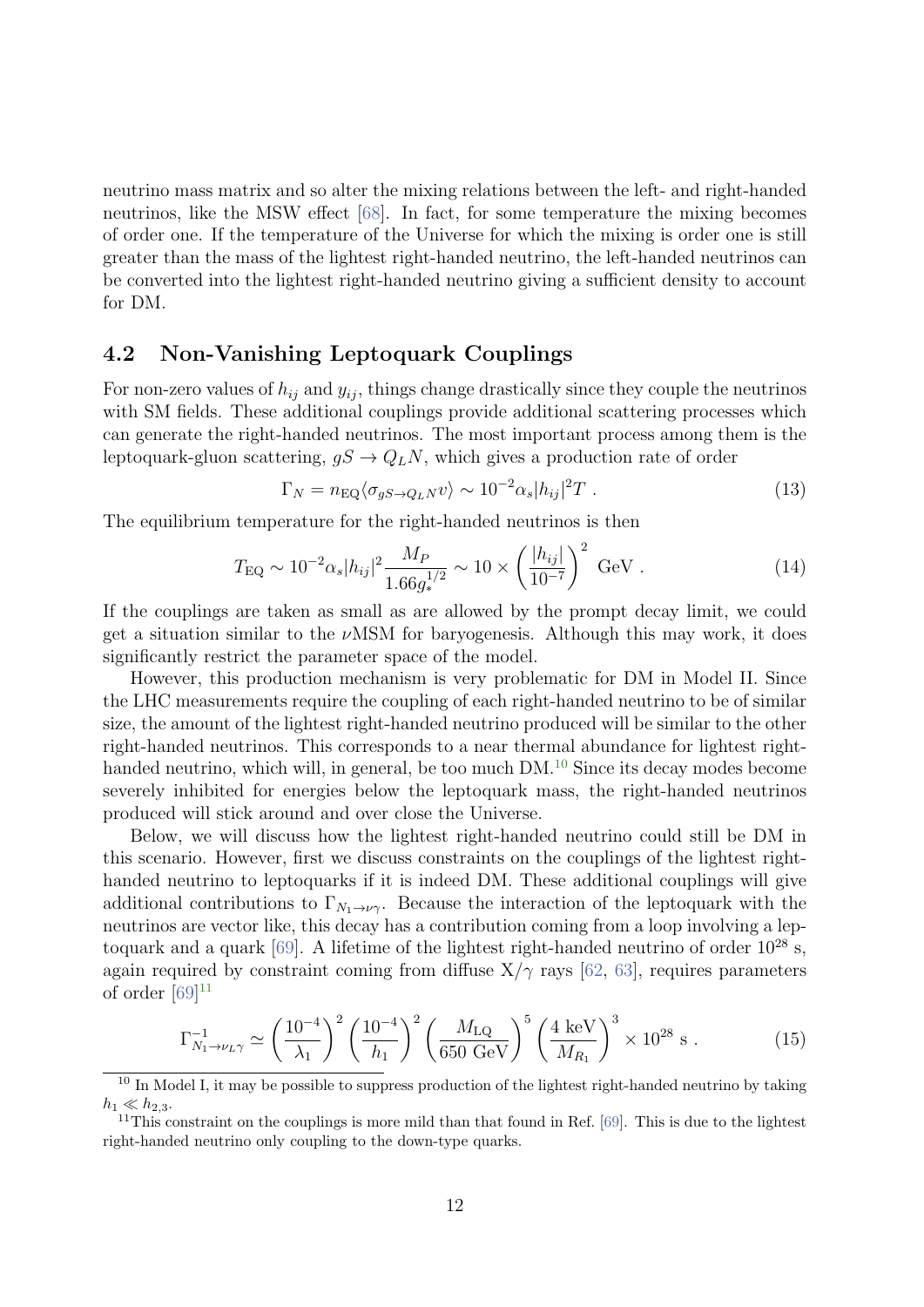neutrino mass matrix and so alter the mixing relations between the left- and right-handed neutrinos, like the MSW effect [\[68\]](#page-24-2). In fact, for some temperature the mixing becomes of order one. If the temperature of the Universe for which the mixing is order one is still greater than the mass of the lightest right-handed neutrino, the left-handed neutrinos can be converted into the lightest right-handed neutrino giving a sufficient density to account for DM.

#### 4.2 Non-Vanishing Leptoquark Couplings

For non-zero values of  $h_{ij}$  and  $y_{ij}$ , things change drastically since they couple the neutrinos with SM fields. These additional couplings provide additional scattering processes which can generate the right-handed neutrinos. The most important process among them is the leptoquark-gluon scattering,  $gS \to Q_L N$ , which gives a production rate of order

$$
\Gamma_N = n_{\text{EQ}} \langle \sigma_{gS \to Q_L N} v \rangle \sim 10^{-2} \alpha_s |h_{ij}|^2 T \ . \tag{13}
$$

The equilibrium temperature for the right-handed neutrinos is then

$$
T_{\rm EQ} \sim 10^{-2} \alpha_s |h_{ij}|^2 \frac{M_P}{1.66 g_*^{1/2}} \sim 10 \times \left(\frac{|h_{ij}|}{10^{-7}}\right)^2 \text{ GeV} . \tag{14}
$$

If the couplings are taken as small as are allowed by the prompt decay limit, we could get a situation similar to the  $\nu$ MSM for baryogenesis. Although this may work, it does significantly restrict the parameter space of the model.

However, this production mechanism is very problematic for DM in Model II. Since the LHC measurements require the coupling of each right-handed neutrino to be of similar size, the amount of the lightest right-handed neutrino produced will be similar to the other right-handed neutrinos. This corresponds to a near thermal abundance for lightest right-handed neutrino, which will, in general, be too much DM.<sup>[10](#page-12-0)</sup> Since its decay modes become severely inhibited for energies below the leptoquark mass, the right-handed neutrinos produced will stick around and over close the Universe.

Below, we will discuss how the lightest right-handed neutrino could still be DM in this scenario. However, first we discuss constraints on the couplings of the lightest righthanded neutrino to leptoquarks if it is indeed DM. These additional couplings will give additional contributions to  $\Gamma_{N_1\to\nu\gamma}$ . Because the interaction of the leptoquark with the neutrinos are vector like, this decay has a contribution coming from a loop involving a leptoquark and a quark  $[69]$ . A lifetime of the lightest right-handed neutrino of order  $10^{28}$  s, again required by constraint coming from diffuse  $X/\gamma$  rays [\[62,](#page-23-10) [63\]](#page-23-6), requires parameters of order  $[69]^{11}$  $[69]^{11}$  $[69]^{11}$ 

$$
\Gamma_{N_1 \to \nu_L \gamma}^{-1} \simeq \left(\frac{10^{-4}}{\lambda_1}\right)^2 \left(\frac{10^{-4}}{h_1}\right)^2 \left(\frac{M_{\text{LQ}}}{650 \text{ GeV}}\right)^5 \left(\frac{4 \text{ keV}}{M_{R_1}}\right)^3 \times 10^{28} \text{ s} \,. \tag{15}
$$

<span id="page-12-0"></span><sup>&</sup>lt;sup>10</sup> In Model I, it may be possible to suppress production of the lightest right-handed neutrino by taking  $h_1 \ll h_{2,3}.$ 

<span id="page-12-1"></span> $11$ This constraint on the couplings is more mild than that found in Ref. [\[69\]](#page-24-3). This is due to the lightest right-handed neutrino only coupling to the down-type quarks.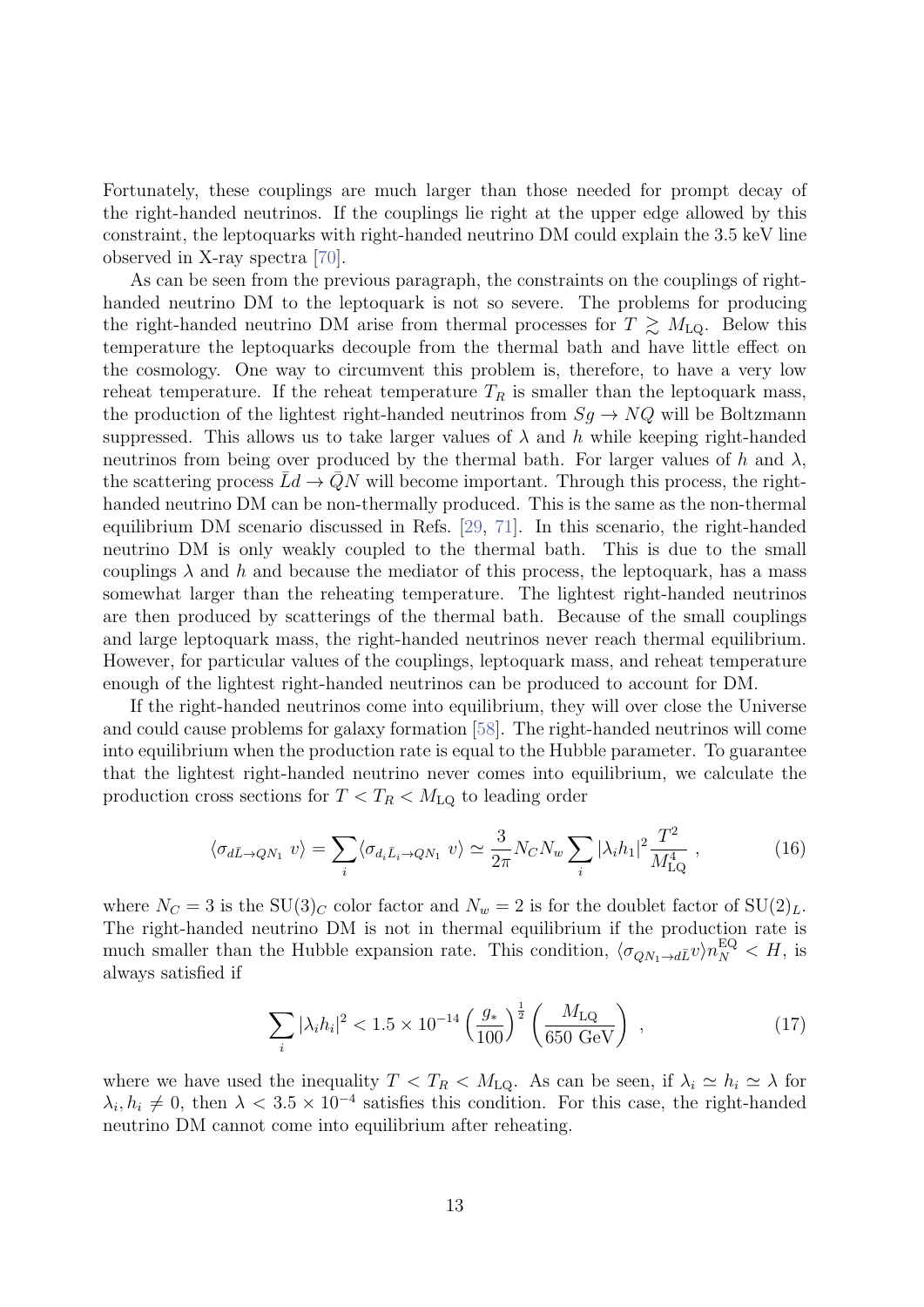Fortunately, these couplings are much larger than those needed for prompt decay of the right-handed neutrinos. If the couplings lie right at the upper edge allowed by this constraint, the leptoquarks with right-handed neutrino DM could explain the 3.5 keV line observed in X-ray spectra [\[70\]](#page-24-4).

As can be seen from the previous paragraph, the constraints on the couplings of righthanded neutrino DM to the leptoquark is not so severe. The problems for producing the right-handed neutrino DM arise from thermal processes for  $T \gtrsim M_{LQ}$ . Below this temperature the leptoquarks decouple from the thermal bath and have little effect on the cosmology. One way to circumvent this problem is, therefore, to have a very low reheat temperature. If the reheat temperature  $T_R$  is smaller than the leptoquark mass, the production of the lightest right-handed neutrinos from  $Sq \rightarrow NQ$  will be Boltzmann suppressed. This allows us to take larger values of  $\lambda$  and h while keeping right-handed neutrinos from being over produced by the thermal bath. For larger values of h and  $\lambda$ , the scattering process  $\bar{L}d \to \bar{Q}N$  will become important. Through this process, the righthanded neutrino DM can be non-thermally produced. This is the same as the non-thermal equilibrium DM scenario discussed in Refs. [\[29,](#page-20-9) [71\]](#page-24-5). In this scenario, the right-handed neutrino DM is only weakly coupled to the thermal bath. This is due to the small couplings  $\lambda$  and h and because the mediator of this process, the leptoquark, has a mass somewhat larger than the reheating temperature. The lightest right-handed neutrinos are then produced by scatterings of the thermal bath. Because of the small couplings and large leptoquark mass, the right-handed neutrinos never reach thermal equilibrium. However, for particular values of the couplings, leptoquark mass, and reheat temperature enough of the lightest right-handed neutrinos can be produced to account for DM.

If the right-handed neutrinos come into equilibrium, they will over close the Universe and could cause problems for galaxy formation [\[58\]](#page-23-3). The right-handed neutrinos will come into equilibrium when the production rate is equal to the Hubble parameter. To guarantee that the lightest right-handed neutrino never comes into equilibrium, we calculate the production cross sections for  $T < T_R < M_{LQ}$  to leading order

$$
\langle \sigma_{d\bar{L}\to QN_1} v \rangle = \sum_i \langle \sigma_{d_i \bar{L}_i \to QN_1} v \rangle \simeq \frac{3}{2\pi} N_C N_w \sum_i |\lambda_i h_1|^2 \frac{T^2}{M_{\text{LQ}}^4} ,\qquad (16)
$$

where  $N_C = 3$  is the SU(3)<sub>C</sub> color factor and  $N_w = 2$  is for the doublet factor of SU(2)<sub>L</sub>. The right-handed neutrino DM is not in thermal equilibrium if the production rate is much smaller than the Hubble expansion rate. This condition,  $\langle \sigma_{QN_1 \to d\bar{L}} v \rangle n_N^{\text{EQ}} < H$ , is always satisfied if

$$
\sum_{i} |\lambda_i h_i|^2 < 1.5 \times 10^{-14} \left(\frac{g_*}{100}\right)^{\frac{1}{2}} \left(\frac{M_{\text{LQ}}}{650 \text{ GeV}}\right) \tag{17}
$$

where we have used the inequality  $T < T_R < M_{LQ}$ . As can be seen, if  $\lambda_i \simeq h_i \simeq \lambda$  for  $\lambda_i, h_i \neq 0$ , then  $\lambda < 3.5 \times 10^{-4}$  satisfies this condition. For this case, the right-handed neutrino DM cannot come into equilibrium after reheating.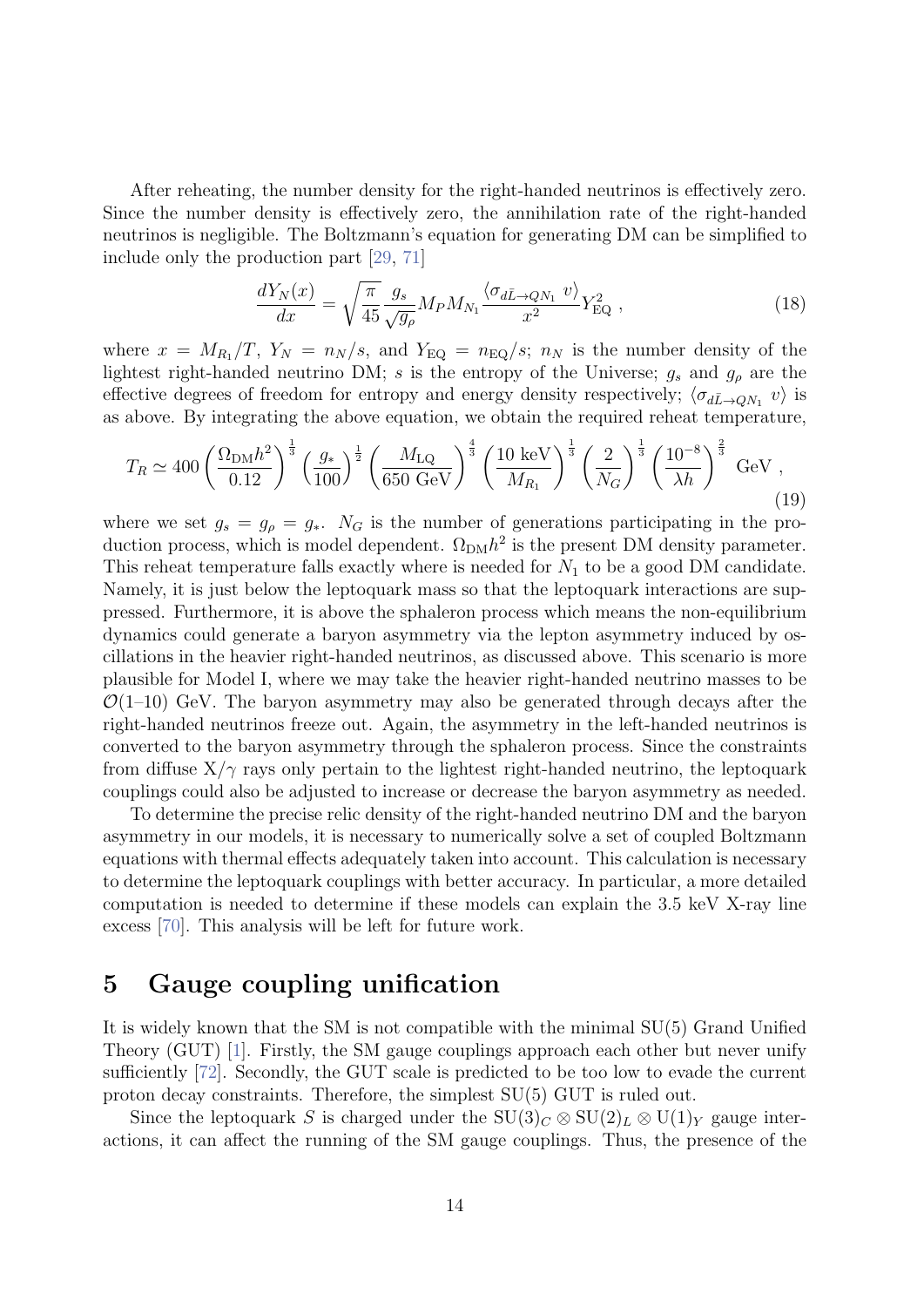After reheating, the number density for the right-handed neutrinos is effectively zero. Since the number density is effectively zero, the annihilation rate of the right-handed neutrinos is negligible. The Boltzmann's equation for generating DM can be simplified to include only the production part [\[29,](#page-20-9) [71\]](#page-24-5)

$$
\frac{dY_N(x)}{dx} = \sqrt{\frac{\pi}{45}} \frac{g_s}{\sqrt{g_\rho}} M_P M_{N_1} \frac{\langle \sigma_{d\bar{L}\to QN_1} v \rangle}{x^2} Y_{\text{EQ}}^2 , \qquad (18)
$$

where  $x = M_{R_1}/T$ ,  $Y_N = n_N/s$ , and  $Y_{EQ} = n_{EQ}/s$ ;  $n_N$  is the number density of the lightest right-handed neutrino DM; s is the entropy of the Universe;  $g_s$  and  $g_\rho$  are the effective degrees of freedom for entropy and energy density respectively;  $\langle \sigma_{d\bar{L}\to QN_1} v \rangle$  is as above. By integrating the above equation, we obtain the required reheat temperature,

$$
T_R \simeq 400 \left(\frac{\Omega_{\rm DM} h^2}{0.12}\right)^{\frac{1}{3}} \left(\frac{g_*}{100}\right)^{\frac{1}{2}} \left(\frac{M_{\rm LQ}}{650 \text{ GeV}}\right)^{\frac{4}{3}} \left(\frac{10 \text{ keV}}{M_{R_1}}\right)^{\frac{1}{3}} \left(\frac{2}{N_G}\right)^{\frac{1}{3}} \left(\frac{10^{-8}}{\lambda h}\right)^{\frac{2}{3}} \text{ GeV} ,\tag{19}
$$

where we set  $g_s = g_\rho = g_*$ . N<sub>G</sub> is the number of generations participating in the production process, which is model dependent.  $\Omega_{\text{DM}}h^2$  is the present DM density parameter. This reheat temperature falls exactly where is needed for  $N_1$  to be a good DM candidate. Namely, it is just below the leptoquark mass so that the leptoquark interactions are suppressed. Furthermore, it is above the sphaleron process which means the non-equilibrium dynamics could generate a baryon asymmetry via the lepton asymmetry induced by oscillations in the heavier right-handed neutrinos, as discussed above. This scenario is more plausible for Model I, where we may take the heavier right-handed neutrino masses to be  $\mathcal{O}(1-10)$  GeV. The baryon asymmetry may also be generated through decays after the right-handed neutrinos freeze out. Again, the asymmetry in the left-handed neutrinos is converted to the baryon asymmetry through the sphaleron process. Since the constraints from diffuse  $X/\gamma$  rays only pertain to the lightest right-handed neutrino, the leptoquark couplings could also be adjusted to increase or decrease the baryon asymmetry as needed.

To determine the precise relic density of the right-handed neutrino DM and the baryon asymmetry in our models, it is necessary to numerically solve a set of coupled Boltzmann equations with thermal effects adequately taken into account. This calculation is necessary to determine the leptoquark couplings with better accuracy. In particular, a more detailed computation is needed to determine if these models can explain the 3.5 keV X-ray line excess [\[70\]](#page-24-4). This analysis will be left for future work.

### 5 Gauge coupling unification

It is widely known that the SM is not compatible with the minimal SU(5) Grand Unified Theory (GUT) [\[1\]](#page-19-0). Firstly, the SM gauge couplings approach each other but never unify sufficiently [\[72\]](#page-24-6). Secondly, the GUT scale is predicted to be too low to evade the current proton decay constraints. Therefore, the simplest SU(5) GUT is ruled out.

Since the leptoquark S is charged under the  $SU(3)_C \otimes SU(2)_L \otimes U(1)_Y$  gauge interactions, it can affect the running of the SM gauge couplings. Thus, the presence of the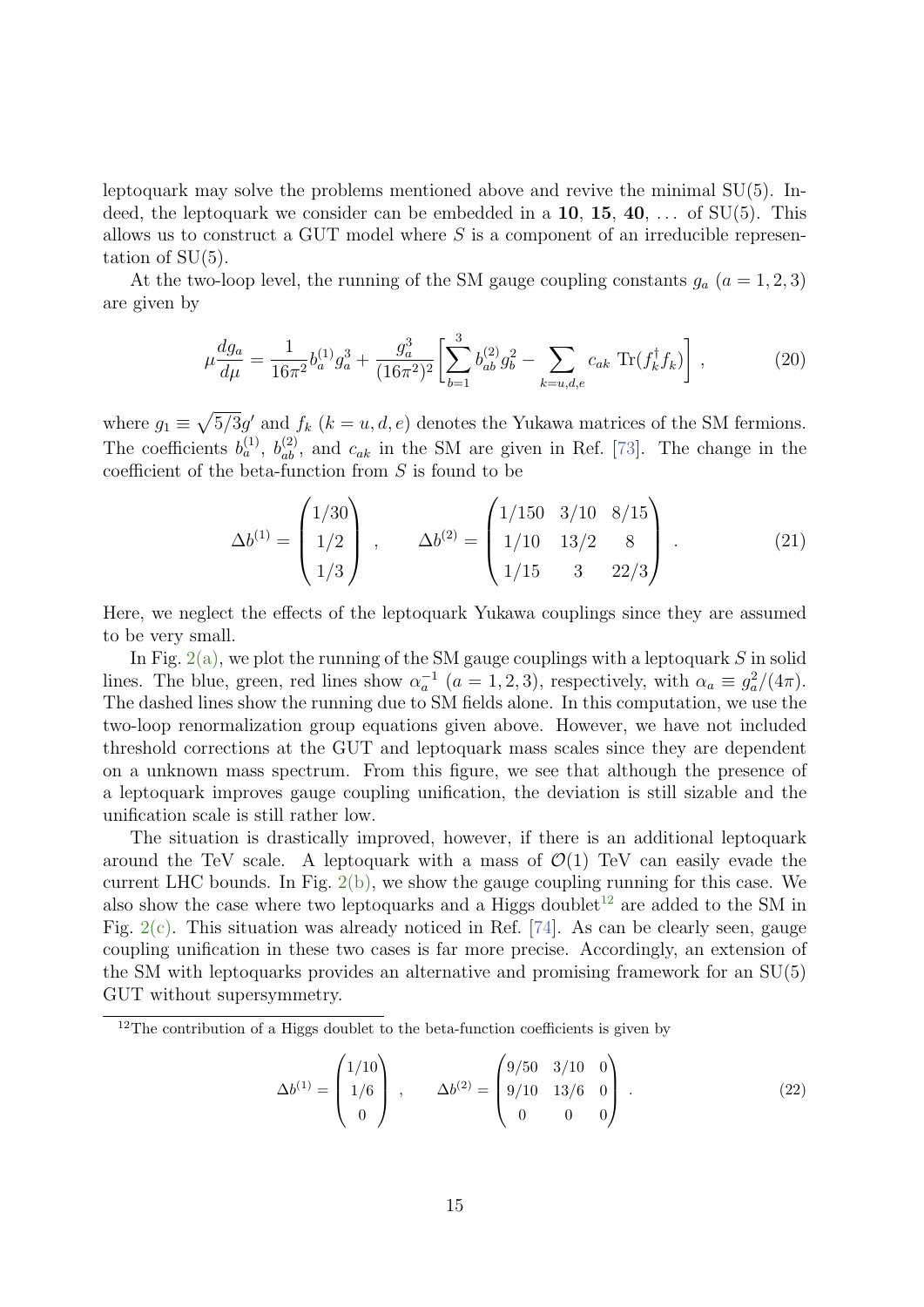leptoquark may solve the problems mentioned above and revive the minimal SU(5). Indeed, the leptoquark we consider can be embedded in a  $10, 15, 40, \ldots$  of SU(5). This allows us to construct a GUT model where  $S$  is a component of an irreducible representation of SU(5).

At the two-loop level, the running of the SM gauge coupling constants  $g_a$  ( $a = 1, 2, 3$ ) are given by

$$
\mu \frac{dg_a}{d\mu} = \frac{1}{16\pi^2} b_a^{(1)} g_a^3 + \frac{g_a^3}{(16\pi^2)^2} \left[ \sum_{b=1}^3 b_{ab}^{(2)} g_b^2 - \sum_{k=u,d,e} c_{ak} \operatorname{Tr}(f_k^\dagger f_k) \right],\tag{20}
$$

where  $g_1 \equiv \sqrt{5/3}g'$  and  $f_k$   $(k = u, d, e)$  denotes the Yukawa matrices of the SM fermions. The coefficients  $b_a^{(1)}$ ,  $b_{ab}^{(2)}$ , and  $c_{ak}$  in the SM are given in Ref. [\[73\]](#page-24-7). The change in the coefficient of the beta-function from S is found to be

$$
\Delta b^{(1)} = \begin{pmatrix} 1/30 \\ 1/2 \\ 1/3 \end{pmatrix} , \qquad \Delta b^{(2)} = \begin{pmatrix} 1/150 & 3/10 & 8/15 \\ 1/10 & 13/2 & 8 \\ 1/15 & 3 & 22/3 \end{pmatrix} . \tag{21}
$$

Here, we neglect the effects of the leptoquark Yukawa couplings since they are assumed to be very small.

In Fig.  $2(a)$ , we plot the running of the SM gauge couplings with a leptoquark S in solid lines. The blue, green, red lines show  $\alpha_a^{-1}$   $(a = 1, 2, 3)$ , respectively, with  $\alpha_a \equiv g_a^2/(4\pi)$ . The dashed lines show the running due to SM fields alone. In this computation, we use the two-loop renormalization group equations given above. However, we have not included threshold corrections at the GUT and leptoquark mass scales since they are dependent on a unknown mass spectrum. From this figure, we see that although the presence of a leptoquark improves gauge coupling unification, the deviation is still sizable and the unification scale is still rather low.

The situation is drastically improved, however, if there is an additional leptoquark around the TeV scale. A leptoquark with a mass of  $\mathcal{O}(1)$  TeV can easily evade the current LHC bounds. In Fig.  $2(b)$ , we show the gauge coupling running for this case. We also show the case where two leptoquarks and a Higgs doublet<sup>[12](#page-15-0)</sup> are added to the SM in Fig. [2\(c\).](#page-16-2) This situation was already noticed in Ref. [\[74\]](#page-24-8). As can be clearly seen, gauge coupling unification in these two cases is far more precise. Accordingly, an extension of the SM with leptoquarks provides an alternative and promising framework for an SU(5) GUT without supersymmetry.

$$
\Delta b^{(1)} = \begin{pmatrix} 1/10 \\ 1/6 \\ 0 \end{pmatrix} , \qquad \Delta b^{(2)} = \begin{pmatrix} 9/50 & 3/10 & 0 \\ 9/10 & 13/6 & 0 \\ 0 & 0 & 0 \end{pmatrix} . \tag{22}
$$

<span id="page-15-0"></span> $12$ The contribution of a Higgs doublet to the beta-function coefficients is given by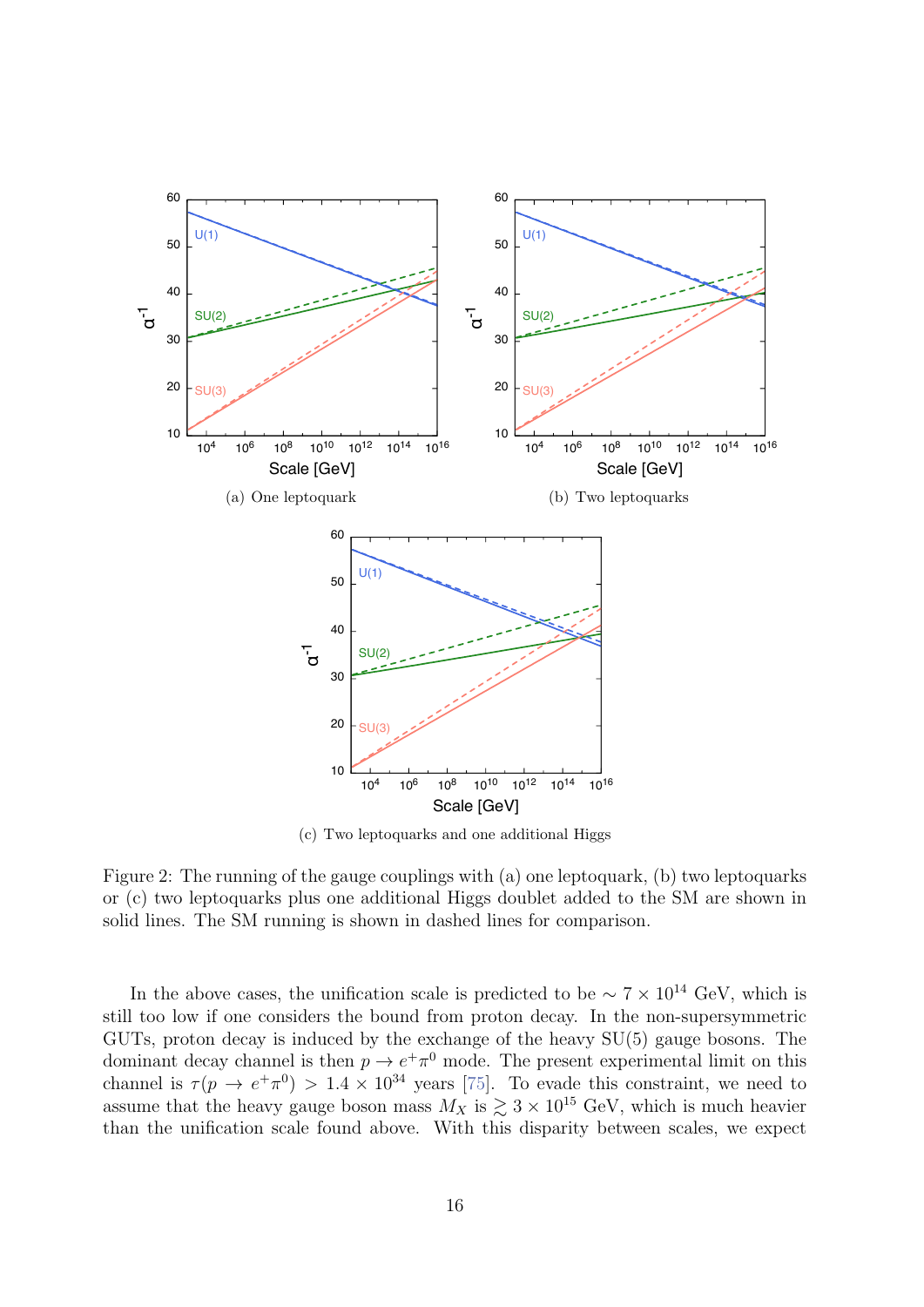<span id="page-16-2"></span><span id="page-16-0"></span>

<span id="page-16-1"></span>(c) Two leptoquarks and one additional Higgs

<span id="page-16-3"></span>Figure 2: The running of the gauge couplings with (a) one leptoquark, (b) two leptoquarks or (c) two leptoquarks plus one additional Higgs doublet added to the SM are shown in solid lines. The SM running is shown in dashed lines for comparison.

In the above cases, the unification scale is predicted to be  $\sim 7 \times 10^{14}$  GeV, which is still too low if one considers the bound from proton decay. In the non-supersymmetric GUTs, proton decay is induced by the exchange of the heavy  $SU(5)$  gauge bosons. The dominant decay channel is then  $p \to e^+ \pi^0$  mode. The present experimental limit on this channel is  $\tau(p \to e^+ \pi^0) > 1.4 \times 10^{34}$  years [75]. To evade this constraint, we need to assume that the heavy gauge boson mass  $M_X$  is  $\gtrsim 3 \times 10^{15}$  GeV, which is much heavier than the unification scale found above. With this disparity between scales, we expect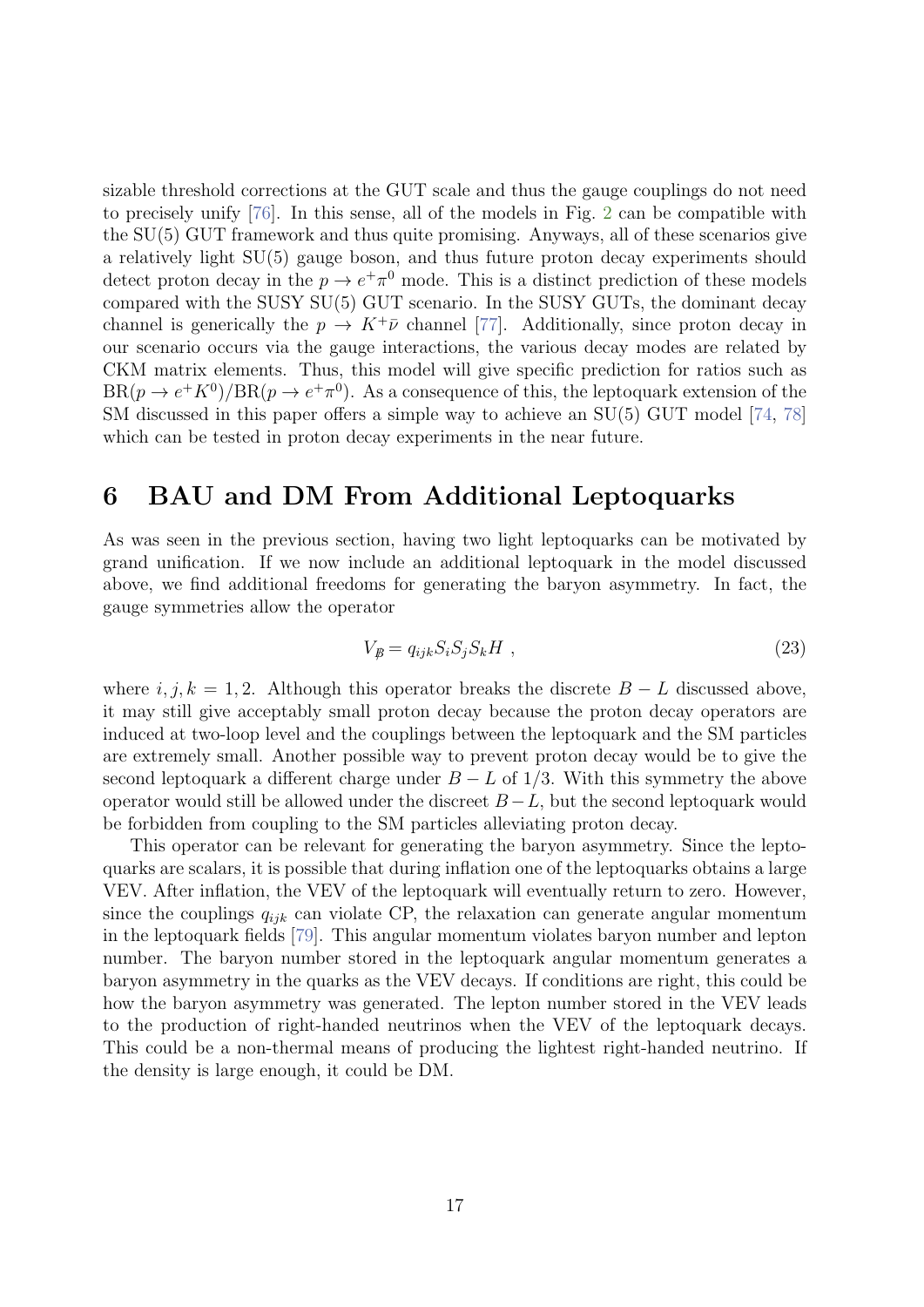sizable threshold corrections at the GUT scale and thus the gauge couplings do not need to precisely unify [\[76\]](#page-25-1). In this sense, all of the models in Fig. [2](#page-16-3) can be compatible with the SU(5) GUT framework and thus quite promising. Anyways, all of these scenarios give a relatively light SU(5) gauge boson, and thus future proton decay experiments should detect proton decay in the  $p \to e^+ \pi^0$  mode. This is a distinct prediction of these models compared with the SUSY SU(5) GUT scenario. In the SUSY GUTs, the dominant decay channel is generically the  $p \to K^+\bar{\nu}$  channel [\[77\]](#page-25-2). Additionally, since proton decay in our scenario occurs via the gauge interactions, the various decay modes are related by CKM matrix elements. Thus, this model will give specific prediction for ratios such as  $BR(p \to e^+ K^0)/BR(p \to e^+ \pi^0)$ . As a consequence of this, the leptoquark extension of the SM discussed in this paper offers a simple way to achieve an SU(5) GUT model [\[74,](#page-24-8) [78\]](#page-25-3) which can be tested in proton decay experiments in the near future.

### 6 BAU and DM From Additional Leptoquarks

As was seen in the previous section, having two light leptoquarks can be motivated by grand unification. If we now include an additional leptoquark in the model discussed above, we find additional freedoms for generating the baryon asymmetry. In fact, the gauge symmetries allow the operator

$$
V_{\mathcal{B}} = q_{ijk} S_i S_j S_k H \t{,} \t(23)
$$

where  $i, j, k = 1, 2$ . Although this operator breaks the discrete  $B - L$  discussed above, it may still give acceptably small proton decay because the proton decay operators are induced at two-loop level and the couplings between the leptoquark and the SM particles are extremely small. Another possible way to prevent proton decay would be to give the second leptoquark a different charge under  $B - L$  of 1/3. With this symmetry the above operator would still be allowed under the discreet  $B-L$ , but the second leptoquark would be forbidden from coupling to the SM particles alleviating proton decay.

This operator can be relevant for generating the baryon asymmetry. Since the leptoquarks are scalars, it is possible that during inflation one of the leptoquarks obtains a large VEV. After inflation, the VEV of the leptoquark will eventually return to zero. However, since the couplings  $q_{ijk}$  can violate CP, the relaxation can generate angular momentum in the leptoquark fields [\[79\]](#page-25-4). This angular momentum violates baryon number and lepton number. The baryon number stored in the leptoquark angular momentum generates a baryon asymmetry in the quarks as the VEV decays. If conditions are right, this could be how the baryon asymmetry was generated. The lepton number stored in the VEV leads to the production of right-handed neutrinos when the VEV of the leptoquark decays. This could be a non-thermal means of producing the lightest right-handed neutrino. If the density is large enough, it could be DM.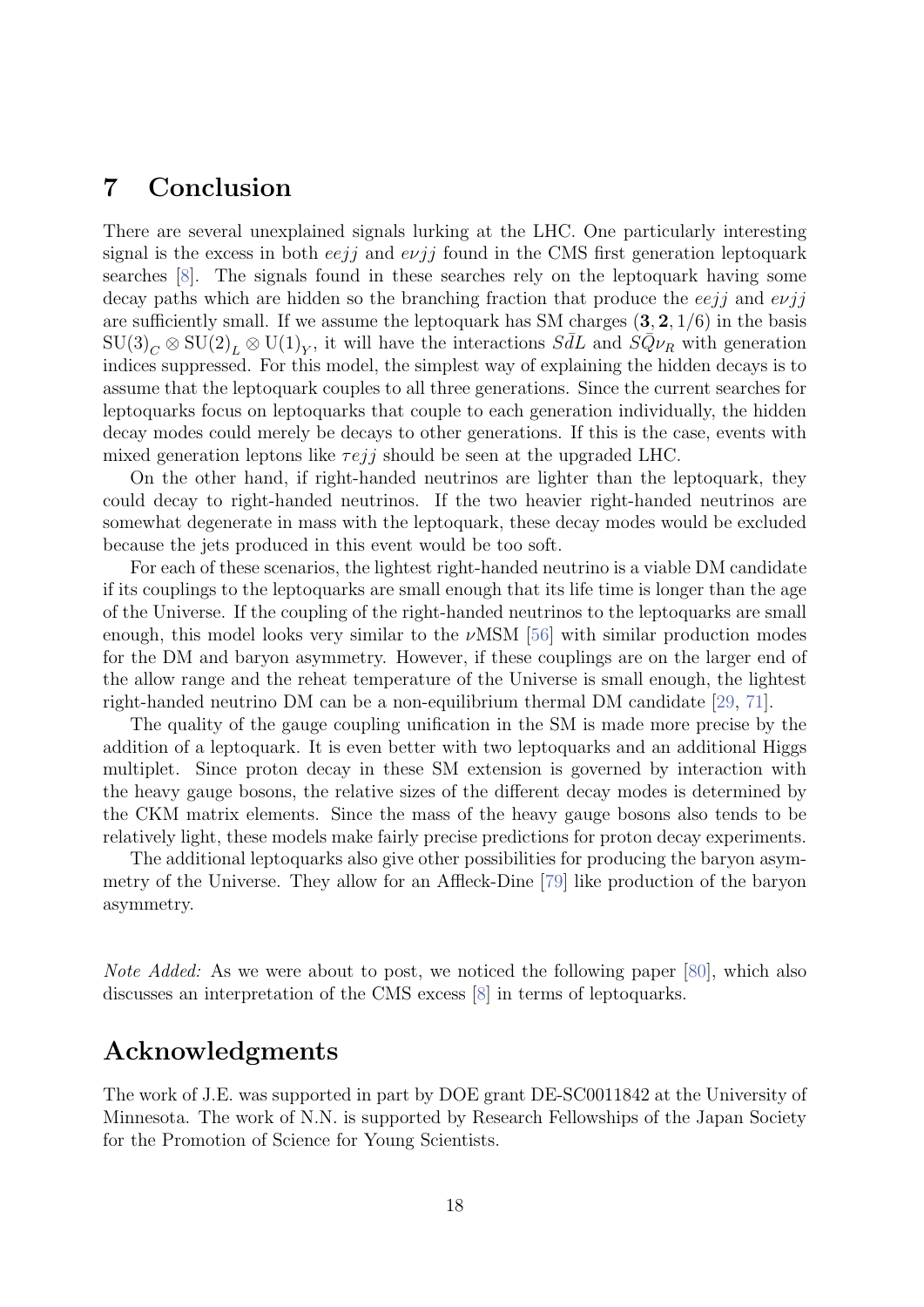### 7 Conclusion

There are several unexplained signals lurking at the LHC. One particularly interesting signal is the excess in both  $eej\bar{j}$  and  $e\nu j\bar{j}$  found in the CMS first generation leptoquark searches [\[8\]](#page-19-7). The signals found in these searches rely on the leptoquark having some decay paths which are hidden so the branching fraction that produce the  $eeij$  and  $e\nu ij$ are sufficiently small. If we assume the leptoquark has SM charges  $(3, 2, 1/6)$  in the basis  $SU(3)_C \otimes SU(2)_L \otimes U(1)_Y$ , it will have the interactions  $S\bar{d}L$  and  $S\bar{Q}\nu_R$  with generation indices suppressed. For this model, the simplest way of explaining the hidden decays is to assume that the leptoquark couples to all three generations. Since the current searches for leptoquarks focus on leptoquarks that couple to each generation individually, the hidden decay modes could merely be decays to other generations. If this is the case, events with mixed generation leptons like  $\tau e j j$  should be seen at the upgraded LHC.

On the other hand, if right-handed neutrinos are lighter than the leptoquark, they could decay to right-handed neutrinos. If the two heavier right-handed neutrinos are somewhat degenerate in mass with the leptoquark, these decay modes would be excluded because the jets produced in this event would be too soft.

For each of these scenarios, the lightest right-handed neutrino is a viable DM candidate if its couplings to the leptoquarks are small enough that its life time is longer than the age of the Universe. If the coupling of the right-handed neutrinos to the leptoquarks are small enough, this model looks very similar to the  $\nu$ MSM [\[56\]](#page-23-1) with similar production modes for the DM and baryon asymmetry. However, if these couplings are on the larger end of the allow range and the reheat temperature of the Universe is small enough, the lightest right-handed neutrino DM can be a non-equilibrium thermal DM candidate [\[29,](#page-20-9) [71\]](#page-24-5).

The quality of the gauge coupling unification in the SM is made more precise by the addition of a leptoquark. It is even better with two leptoquarks and an additional Higgs multiplet. Since proton decay in these SM extension is governed by interaction with the heavy gauge bosons, the relative sizes of the different decay modes is determined by the CKM matrix elements. Since the mass of the heavy gauge bosons also tends to be relatively light, these models make fairly precise predictions for proton decay experiments.

The additional leptoquarks also give other possibilities for producing the baryon asymmetry of the Universe. They allow for an Affleck-Dine [\[79\]](#page-25-4) like production of the baryon asymmetry.

Note Added: As we were about to post, we noticed the following paper [\[80\]](#page-25-5), which also discusses an interpretation of the CMS excess [\[8\]](#page-19-7) in terms of leptoquarks.

### Acknowledgments

The work of J.E. was supported in part by DOE grant DE-SC0011842 at the University of Minnesota. The work of N.N. is supported by Research Fellowships of the Japan Society for the Promotion of Science for Young Scientists.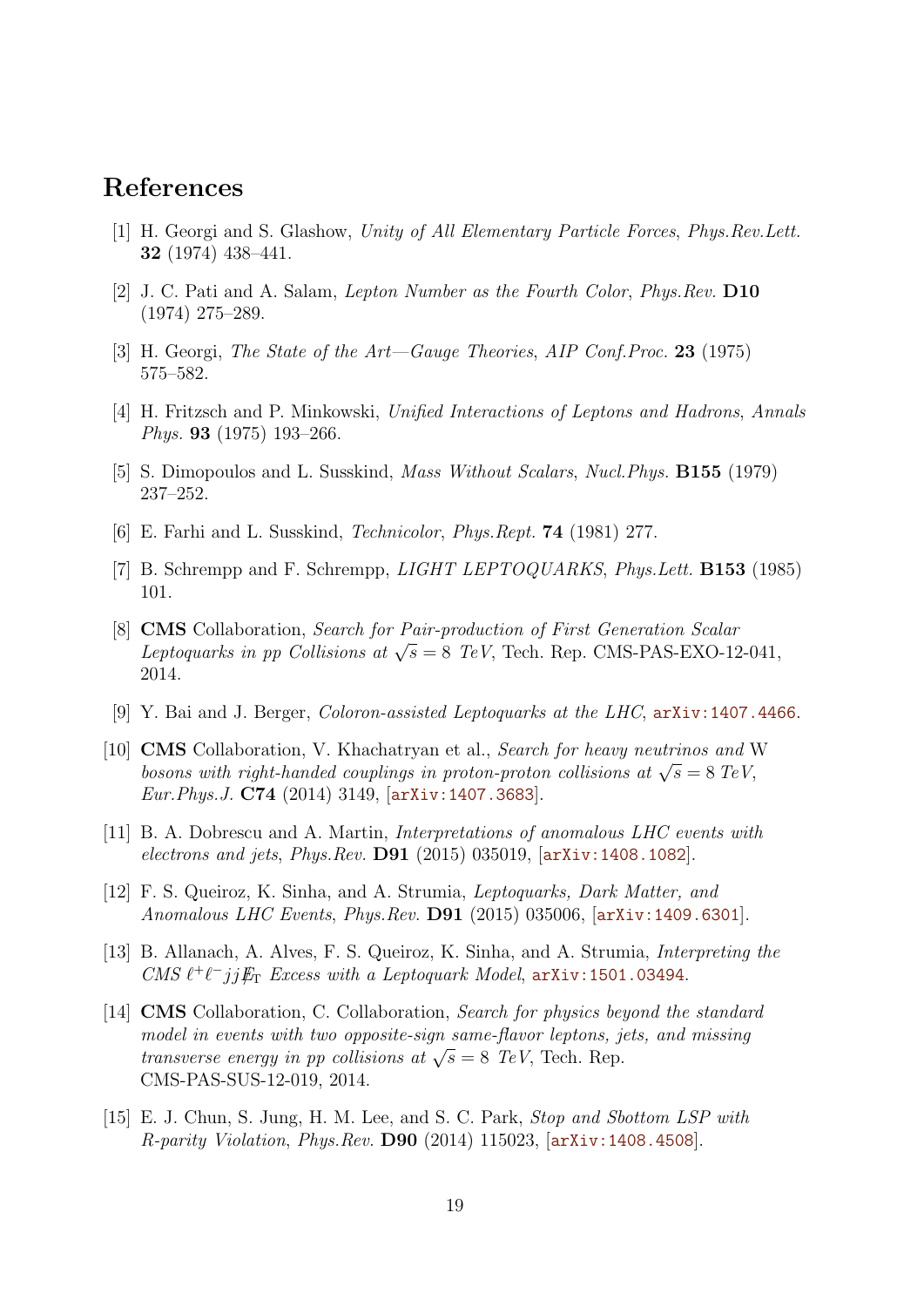## References

- <span id="page-19-0"></span>[1] H. Georgi and S. Glashow, Unity of All Elementary Particle Forces, Phys.Rev.Lett. 32 (1974) 438–441.
- <span id="page-19-1"></span>[2] J. C. Pati and A. Salam, Lepton Number as the Fourth Color, Phys.Rev. D10 (1974) 275–289.
- <span id="page-19-2"></span>[3] H. Georgi, The State of the Art—Gauge Theories, AIP Conf. Proc. 23 (1975) 575–582.
- <span id="page-19-3"></span>[4] H. Fritzsch and P. Minkowski, Unified Interactions of Leptons and Hadrons, Annals Phys. 93 (1975) 193–266.
- <span id="page-19-4"></span>[5] S. Dimopoulos and L. Susskind, Mass Without Scalars, Nucl.Phys. B155 (1979) 237–252.
- <span id="page-19-5"></span>[6] E. Farhi and L. Susskind, Technicolor, Phys.Rept. 74 (1981) 277.
- <span id="page-19-6"></span>[7] B. Schrempp and F. Schrempp, *LIGHT LEPTOQUARKS*, *Phys.Lett.* **B153** (1985) 101.
- <span id="page-19-7"></span>[8] CMS Collaboration, Search for Pair-production of First Generation Scalar Livis Conasoration, search for Tati-production of Trist Generation Scalar<br>Leptoquarks in pp Collisions at  $\sqrt{s} = 8$  TeV, Tech. Rep. CMS-PAS-EXO-12-041, 2014.
- <span id="page-19-8"></span>[9] Y. Bai and J. Berger, *Coloron-assisted Leptoquarks at the LHC*,  $arXiv:1407.4466$ .
- <span id="page-19-9"></span>[10] CMS Collaboration, V. Khachatryan et al., Search for heavy neutrinos and W CNIS Conaboration, v. Knachatryan et al., *bearen for heavy hearrinos and* v<br>bosons with right-handed couplings in proton-proton collisions at  $\sqrt{s} = 8 \text{ TeV}$ , Eur.Phys.J. C74 (2014) 3149, [[arXiv:1407.3683](http://arxiv.org/abs/1407.3683)].
- <span id="page-19-10"></span>[11] B. A. Dobrescu and A. Martin, Interpretations of anomalous LHC events with electrons and jets, Phys.Rev. D91 (2015) 035019, [[arXiv:1408.1082](http://arxiv.org/abs/1408.1082)].
- <span id="page-19-11"></span>[12] F. S. Queiroz, K. Sinha, and A. Strumia, Leptoquarks, Dark Matter, and Anomalous LHC Events, Phys. Rev.  $D91$  (2015) 035006,  $[\text{arXiv}:1409.6301]$ .
- <span id="page-19-12"></span>[13] B. Allanach, A. Alves, F. S. Queiroz, K. Sinha, and A. Strumia, Interpreting the CMS  $\ell^+\ell^- jj E_T$  Excess with a Leptoquark Model,  $arXiv:1501.03494$ .
- <span id="page-19-13"></span>[14] CMS Collaboration, C. Collaboration, Search for physics beyond the standard model in events with two opposite-sign same-flavor leptons, jets, and missing modet in events with two opposite-styn same-juvor teptons,  $j$  transverse energy in pp collisions at  $\sqrt{s} = 8$  TeV, Tech. Rep. CMS-PAS-SUS-12-019, 2014.
- <span id="page-19-14"></span>[15] E. J. Chun, S. Jung, H. M. Lee, and S. C. Park, Stop and Sbottom LSP with R-parity Violation, Phys.Rev. D90 (2014) 115023, [[arXiv:1408.4508](http://arxiv.org/abs/1408.4508)].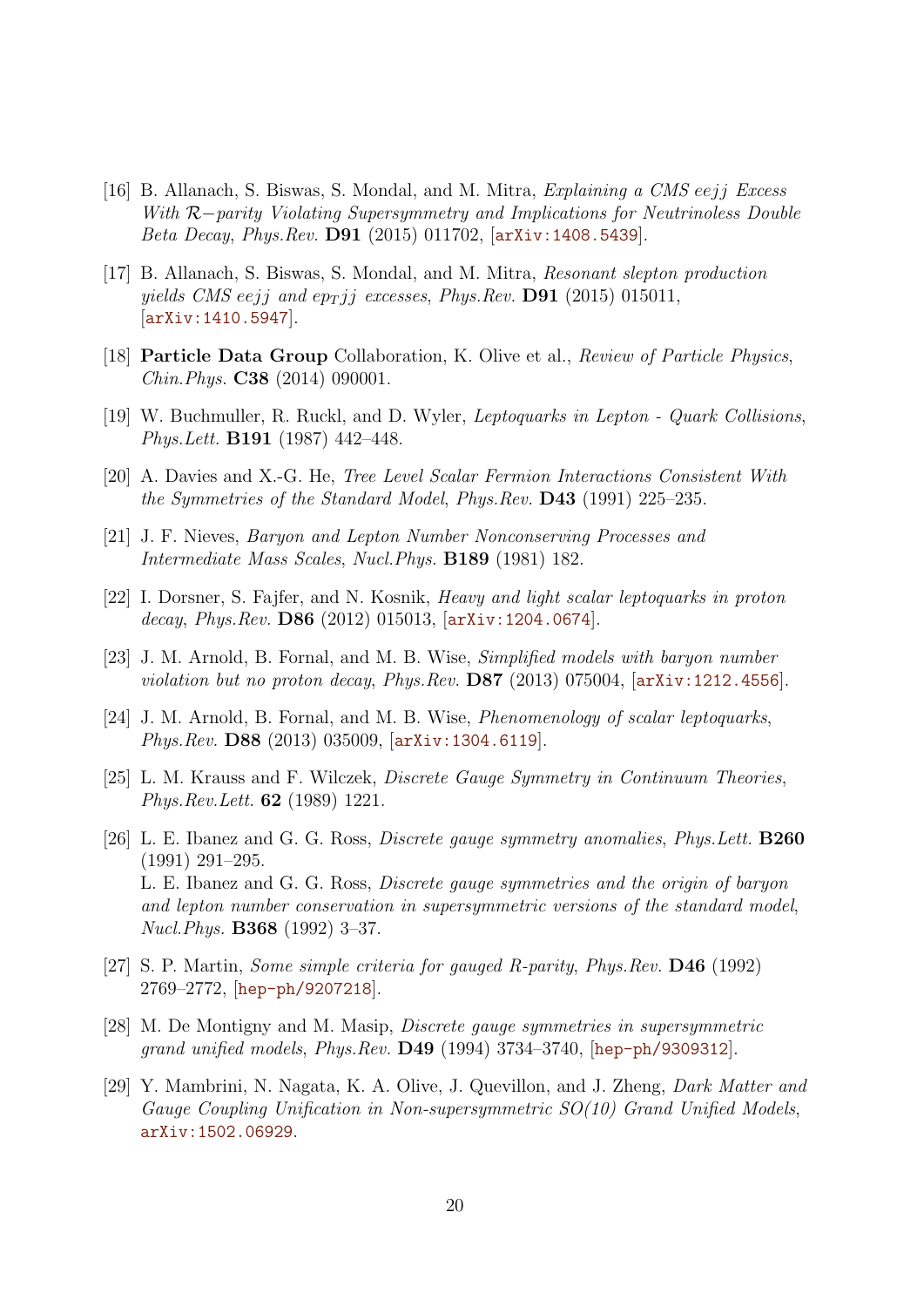- [16] B. Allanach, S. Biswas, S. Mondal, and M. Mitra, Explaining a CMS eejj Excess With R−parity Violating Supersymmetry and Implications for Neutrinoless Double Beta Decay, Phys.Rev. D91 (2015) 011702, [[arXiv:1408.5439](http://arxiv.org/abs/1408.5439)].
- <span id="page-20-0"></span>[17] B. Allanach, S. Biswas, S. Mondal, and M. Mitra, Resonant slepton production yields CMS eejj and ep<sub>T</sub> jj excesses, Phys.Rev. **D91** (2015) 015011, [[arXiv:1410.5947](http://arxiv.org/abs/1410.5947)].
- <span id="page-20-1"></span>[18] **Particle Data Group** Collaboration, K. Olive et al., *Review of Particle Physics*, Chin.Phys. C38 (2014) 090001.
- <span id="page-20-2"></span>[19] W. Buchmuller, R. Ruckl, and D. Wyler, Leptoquarks in Lepton - Quark Collisions, Phys.Lett. B191 (1987) 442–448.
- <span id="page-20-3"></span>[20] A. Davies and X.-G. He, Tree Level Scalar Fermion Interactions Consistent With the Symmetries of the Standard Model, Phys.Rev. D43 (1991) 225–235.
- <span id="page-20-4"></span>[21] J. F. Nieves, Baryon and Lepton Number Nonconserving Processes and Intermediate Mass Scales, Nucl.Phys. B189 (1981) 182.
- [22] I. Dorsner, S. Fajfer, and N. Kosnik, Heavy and light scalar leptoquarks in proton decay, Phys.Rev. D86 (2012) 015013, [[arXiv:1204.0674](http://arxiv.org/abs/1204.0674)].
- [23] J. M. Arnold, B. Fornal, and M. B. Wise, Simplified models with baryon number violation but no proton decay, Phys. Rev.  $DS7$  (2013) 075004,  $[arXiv:1212.4556]$  $[arXiv:1212.4556]$  $[arXiv:1212.4556]$ .
- <span id="page-20-5"></span>[24] J. M. Arnold, B. Fornal, and M. B. Wise, Phenomenology of scalar leptoquarks, Phys.Rev. D88 (2013) 035009, [[arXiv:1304.6119](http://arxiv.org/abs/1304.6119)].
- <span id="page-20-6"></span>[25] L. M. Krauss and F. Wilczek, Discrete Gauge Symmetry in Continuum Theories, Phys.Rev.Lett. 62 (1989) 1221.
- [26] L. E. Ibanez and G. G. Ross, Discrete gauge symmetry anomalies, Phys.Lett. B260 (1991) 291–295. L. E. Ibanez and G. G. Ross, Discrete gauge symmetries and the origin of baryon and lepton number conservation in supersymmetric versions of the standard model, Nucl.Phys. B368 (1992) 3–37.
- <span id="page-20-7"></span>[27] S. P. Martin, Some simple criteria for gauged R-parity, Phys.Rev. D46 (1992) 2769–2772, [[hep-ph/9207218](http://arxiv.org/abs/hep-ph/9207218)].
- <span id="page-20-8"></span>[28] M. De Montigny and M. Masip, Discrete gauge symmetries in supersymmetric grand unified models, Phys.Rev. D49 (1994) 3734–3740, [[hep-ph/9309312](http://arxiv.org/abs/hep-ph/9309312)].
- <span id="page-20-9"></span>[29] Y. Mambrini, N. Nagata, K. A. Olive, J. Quevillon, and J. Zheng, Dark Matter and Gauge Coupling Unification in Non-supersymmetric SO(10) Grand Unified Models, [arXiv:1502.06929](http://arxiv.org/abs/1502.06929).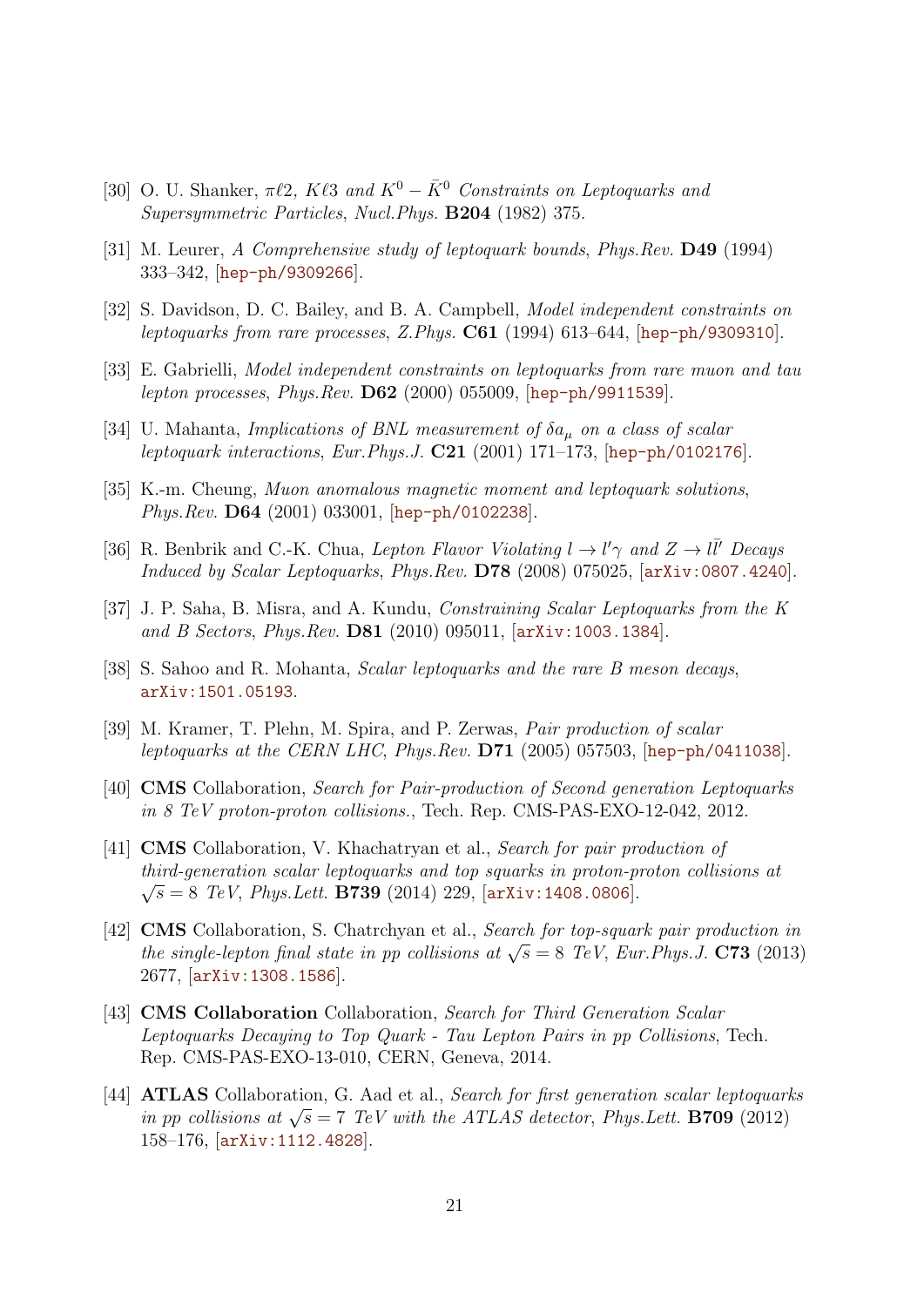- <span id="page-21-0"></span>[30] O. U. Shanker,  $\pi \ell 2$ , K $\ell 3$  and  $K^0 - \bar{K}^0$  Constraints on Leptoquarks and Supersymmetric Particles, Nucl.Phys. B204 (1982) 375.
- [31] M. Leurer, A Comprehensive study of leptoquark bounds, Phys.Rev. D49 (1994) 333–342, [[hep-ph/9309266](http://arxiv.org/abs/hep-ph/9309266)].
- [32] S. Davidson, D. C. Bailey, and B. A. Campbell, Model independent constraints on leptoquarks from rare processes, Z.Phys. C61 (1994) 613–644, [[hep-ph/9309310](http://arxiv.org/abs/hep-ph/9309310)].
- [33] E. Gabrielli, Model independent constraints on leptoquarks from rare muon and tau lepton processes, Phys.Rev. D62 (2000) 055009, [[hep-ph/9911539](http://arxiv.org/abs/hep-ph/9911539)].
- [34] U. Mahanta, *Implications of BNL measurement of*  $\delta a_\mu$  *on a class of scalar* leptoquark interactions, Eur. Phys. J.  $C21$  (2001) 171–173, [[hep-ph/0102176](http://arxiv.org/abs/hep-ph/0102176)].
- [35] K.-m. Cheung, Muon anomalous magnetic moment and leptoquark solutions, Phys.Rev. **D64** (2001) 033001, [[hep-ph/0102238](http://arxiv.org/abs/hep-ph/0102238)].
- [36] R. Benbrik and C.-K. Chua, Lepton Flavor Violating  $l \to l' \gamma$  and  $Z \to l \bar{l}'$  Decays Induced by Scalar Leptoquarks, Phys.Rev. D78 (2008) 075025, [[arXiv:0807.4240](http://arxiv.org/abs/0807.4240)].
- [37] J. P. Saha, B. Misra, and A. Kundu, Constraining Scalar Leptoquarks from the K and B Sectors, Phys. Rev. **D81** (2010) 095011,  $[ary:1003.1384]$ .
- <span id="page-21-1"></span>[38] S. Sahoo and R. Mohanta, Scalar leptoquarks and the rare B meson decays, [arXiv:1501.05193](http://arxiv.org/abs/1501.05193).
- <span id="page-21-2"></span>[39] M. Kramer, T. Plehn, M. Spira, and P. Zerwas, Pair production of scalar leptoquarks at the CERN LHC, Phys.Rev.  $D71$  (2005) 057503, [[hep-ph/0411038](http://arxiv.org/abs/hep-ph/0411038)].
- <span id="page-21-3"></span>[40] CMS Collaboration, Search for Pair-production of Second generation Leptoquarks in 8 TeV proton-proton collisions., Tech. Rep. CMS-PAS-EXO-12-042, 2012.
- <span id="page-21-4"></span>[41] CMS Collaboration, V. Khachatryan et al., Search for pair production of third-generation scalar leptoquarks and top squarks in proton-proton collisions at  $\sqrt{7}$  $\sqrt{s} = 8$  TeV, Phys. Lett. **B739** (2014) 229,  $\ar{xiv:1408.0806}$ .
- <span id="page-21-5"></span>[42] **CMS** Collaboration, S. Chatrchyan et al., Search for top-squark pair production in **EXIS** Conaboration, S. Charlengian et al., *Search for top-squark pair production in* the single-lepton final state in pp collisions at  $\sqrt{s} = 8$  TeV, Eur. Phys. J. **C73** (2013) 2677, [[arXiv:1308.1586](http://arxiv.org/abs/1308.1586)].
- <span id="page-21-6"></span>[43] **CMS Collaboration** Collaboration, Search for Third Generation Scalar Leptoquarks Decaying to Top Quark - Tau Lepton Pairs in pp Collisions, Tech. Rep. CMS-PAS-EXO-13-010, CERN, Geneva, 2014.
- <span id="page-21-7"></span>[44] ATLAS Collaboration, G. Aad et al., Search for first generation scalar leptoquarks **EXECUTE:** SUPPOSED SCORE CONSERVANCE TO A SECTED FOR THE *in pp collisions at*  $\sqrt{s} = 7$  TeV with the ATLAS detector, Phys. Lett. **B709** (2012) 158–176, [[arXiv:1112.4828](http://arxiv.org/abs/1112.4828)].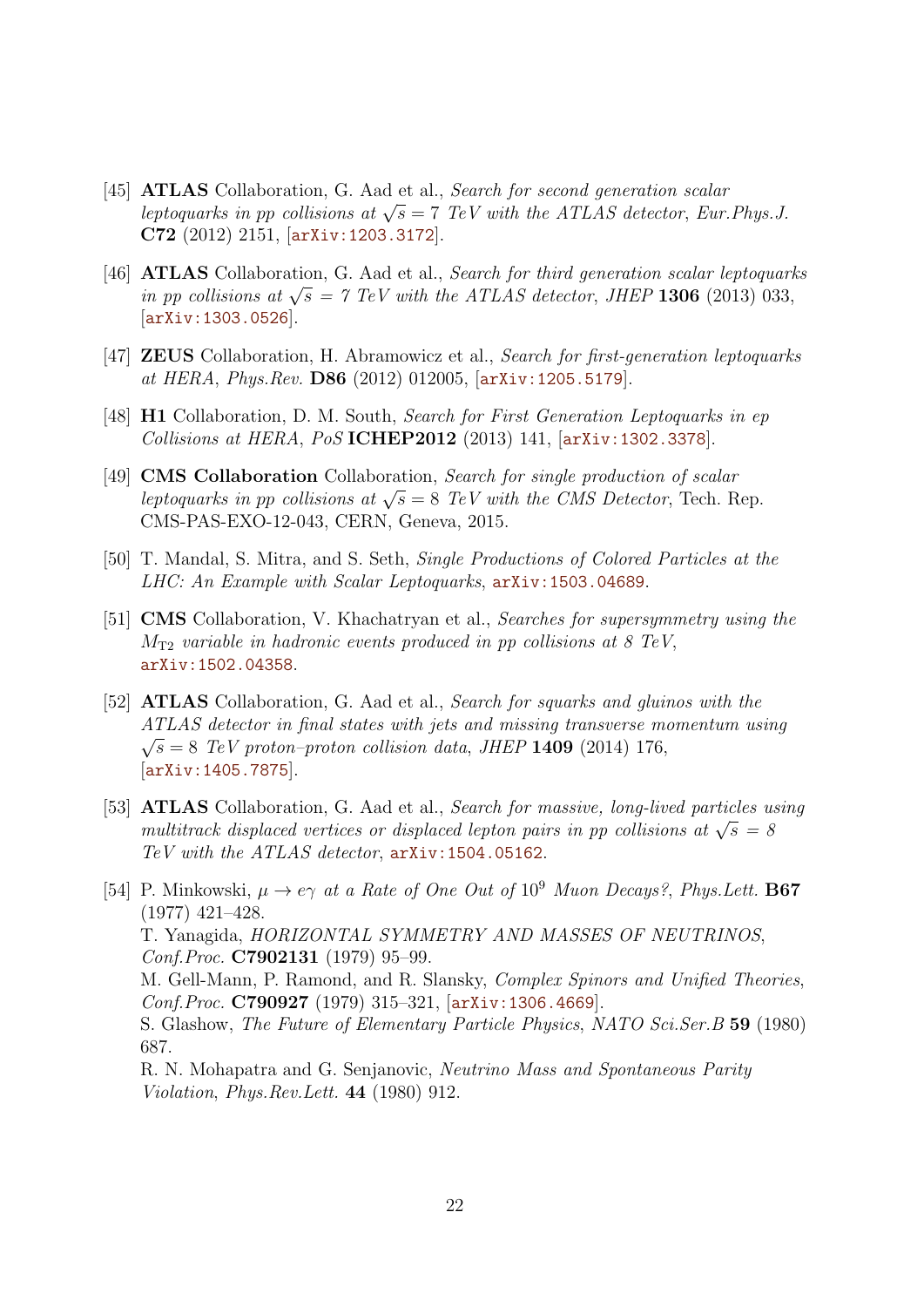- [45] **ATLAS** Collaboration, G. Aad et al., Search for second generation scalar **ATLAS** Conaboration, G. Aad et al., *Search for second generation scalar* leptoquarks in pp collisions at  $\sqrt{s} = 7$  TeV with the ATLAS detector, Eur. Phys. J. C72 (2012) 2151, [[arXiv:1203.3172](http://arxiv.org/abs/1203.3172)].
- <span id="page-22-0"></span>[46] ATLAS Collaboration, G. Aad et al., Search for third generation scalar leptoquarks **EXECUTE:** SUCTED CONSEQUENCE CONSERVANCE THE ATLAS detector, JHEP 1306 (2013) 033, in pp collisions at  $\sqrt{s} = 7$  TeV with the ATLAS detector, JHEP 1306 (2013) 033, [[arXiv:1303.0526](http://arxiv.org/abs/1303.0526)].
- <span id="page-22-1"></span>[47] ZEUS Collaboration, H. Abramowicz et al., Search for first-generation leptoquarks at HERA, Phys.Rev. D86 (2012) 012005, [[arXiv:1205.5179](http://arxiv.org/abs/1205.5179)].
- <span id="page-22-2"></span>[48] H1 Collaboration, D. M. South, Search for First Generation Leptoquarks in ep Collisions at HERA, PoS ICHEP2012 (2013) 141, [[arXiv:1302.3378](http://arxiv.org/abs/1302.3378)].
- <span id="page-22-3"></span>[49] **CMS Collaboration** Collaboration, Search for single production of scalar CNIS COHADOFATION CONSIDERING, Search for single production of scalar<br>leptoquarks in pp collisions at  $\sqrt{s} = 8$  TeV with the CMS Detector, Tech. Rep. CMS-PAS-EXO-12-043, CERN, Geneva, 2015.
- <span id="page-22-4"></span>[50] T. Mandal, S. Mitra, and S. Seth, Single Productions of Colored Particles at the LHC: An Example with Scalar Leptoquarks, [arXiv:1503.04689](http://arxiv.org/abs/1503.04689).
- <span id="page-22-5"></span>[51] CMS Collaboration, V. Khachatryan et al., Searches for supersymmetry using the  $M_{\text{T2}}$  variable in hadronic events produced in pp collisions at 8 TeV, [arXiv:1502.04358](http://arxiv.org/abs/1502.04358).
- <span id="page-22-6"></span>[52] ATLAS Collaboration, G. Aad et al., Search for squarks and gluinos with the ATLAS detector in final states with jets and missing transverse momentum using √  $\sqrt{s} = 8$  TeV proton–proton collision data, JHEP 1409 (2014) 176, [[arXiv:1405.7875](http://arxiv.org/abs/1405.7875)].
- <span id="page-22-7"></span>[53] ATLAS Collaboration, G. Aad et al., Search for massive, long-lived particles using **ATLAS** Conaboration, G. Aad et al., *Search for massive, long-lived particles a* multitrack displaced vertices or displaced lepton pairs in pp collisions at  $\sqrt{s} = 8$ TeV with the ATLAS detector, [arXiv:1504.05162](http://arxiv.org/abs/1504.05162).
- <span id="page-22-8"></span>[54] P. Minkowski,  $\mu \to e\gamma$  at a Rate of One Out of 10<sup>9</sup> Muon Decays?, Phys. Lett. **B67** (1977) 421–428. T. Yanagida, HORIZONTAL SYMMETRY AND MASSES OF NEUTRINOS, Conf.Proc. C7902131 (1979) 95–99. M. Gell-Mann, P. Ramond, and R. Slansky, Complex Spinors and Unified Theories, Conf.Proc. C790927 (1979) 315–321, [[arXiv:1306.4669](http://arxiv.org/abs/1306.4669)]. S. Glashow, The Future of Elementary Particle Physics, NATO Sci.Ser.B 59 (1980) 687. R. N. Mohapatra and G. Senjanovic, Neutrino Mass and Spontaneous Parity
	- Violation, Phys.Rev.Lett. 44 (1980) 912.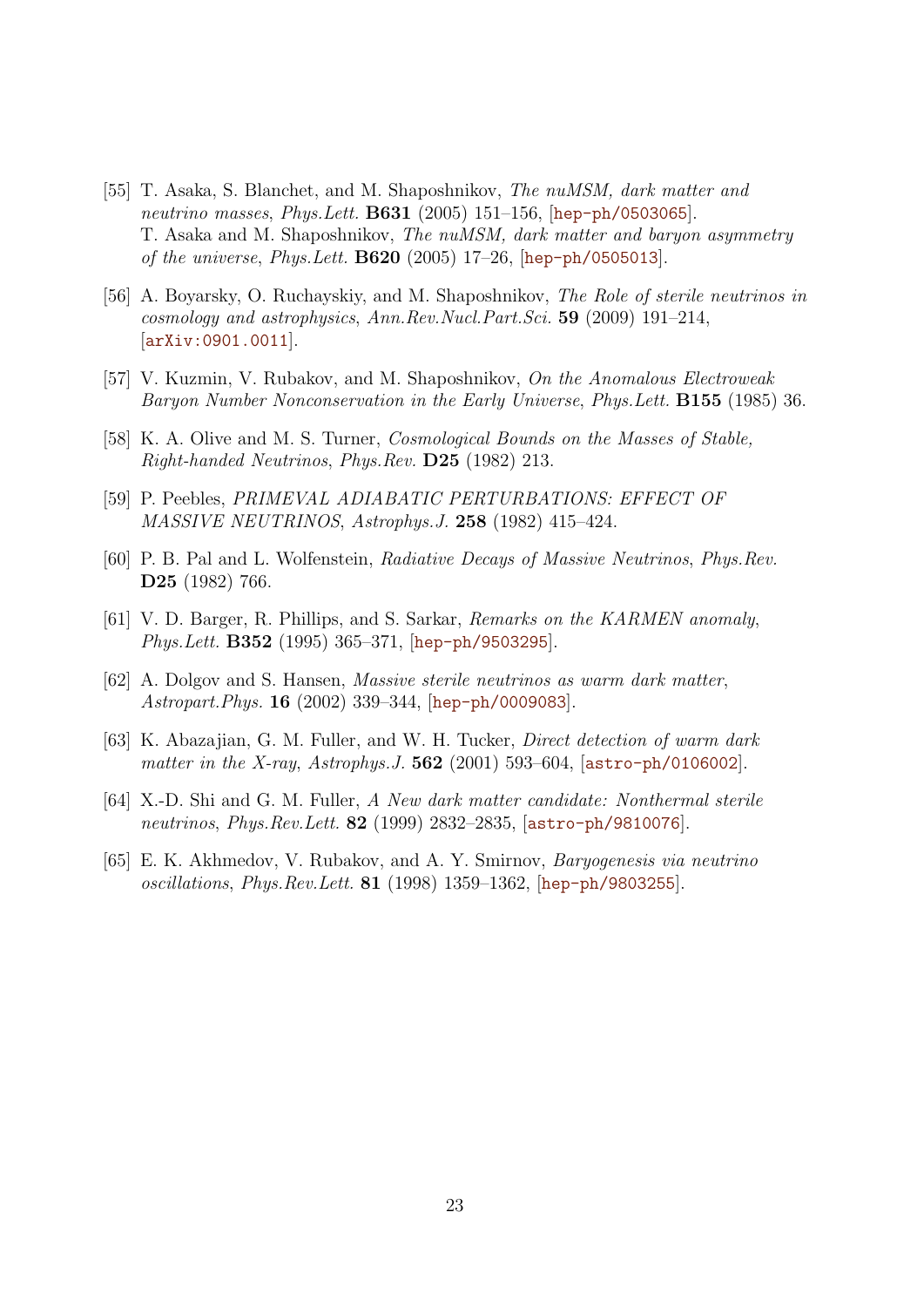- <span id="page-23-9"></span><span id="page-23-0"></span>[55] T. Asaka, S. Blanchet, and M. Shaposhnikov, The nuMSM, dark matter and neutrino masses, Phys. Lett. **B631** (2005) 151–156,  $[hep-ph/0503065]$  $[hep-ph/0503065]$  $[hep-ph/0503065]$ . T. Asaka and M. Shaposhnikov, The nuMSM, dark matter and baryon asymmetry of the universe, Phys. Lett. **B620** (2005) 17–26,  $[hep-ph/0505013]$  $[hep-ph/0505013]$  $[hep-ph/0505013]$ .
- <span id="page-23-1"></span>[56] A. Boyarsky, O. Ruchayskiy, and M. Shaposhnikov, The Role of sterile neutrinos in cosmology and astrophysics, Ann.Rev.Nucl.Part.Sci. 59 (2009) 191–214, [[arXiv:0901.0011](http://arxiv.org/abs/0901.0011)].
- <span id="page-23-2"></span>[57] V. Kuzmin, V. Rubakov, and M. Shaposhnikov, On the Anomalous Electroweak Baryon Number Nonconservation in the Early Universe, Phys.Lett. B155 (1985) 36.
- <span id="page-23-3"></span>[58] K. A. Olive and M. S. Turner, Cosmological Bounds on the Masses of Stable, Right-handed Neutrinos, Phys.Rev. D25 (1982) 213.
- <span id="page-23-4"></span>[59] P. Peebles, PRIMEVAL ADIABATIC PERTURBATIONS: EFFECT OF MASSIVE NEUTRINOS, Astrophys.J. 258 (1982) 415–424.
- <span id="page-23-5"></span>[60] P. B. Pal and L. Wolfenstein, Radiative Decays of Massive Neutrinos, Phys.Rev. D25 (1982) 766.
- [61] V. D. Barger, R. Phillips, and S. Sarkar, Remarks on the KARMEN anomaly, Phys.Lett. B352 (1995) 365-371, [[hep-ph/9503295](http://arxiv.org/abs/hep-ph/9503295)].
- <span id="page-23-10"></span>[62] A. Dolgov and S. Hansen, Massive sterile neutrinos as warm dark matter, Astropart.Phys. 16 (2002) 339–344, [[hep-ph/0009083](http://arxiv.org/abs/hep-ph/0009083)].
- <span id="page-23-6"></span>[63] K. Abazajian, G. M. Fuller, and W. H. Tucker, Direct detection of warm dark matter in the X-ray, Astrophys. J.  $562$  (2001) 593–604, [[astro-ph/0106002](http://arxiv.org/abs/astro-ph/0106002)].
- <span id="page-23-7"></span>[64] X.-D. Shi and G. M. Fuller, A New dark matter candidate: Nonthermal sterile neutrinos, *Phys.Rev.Lett.* **82** (1999) 2832–2835, [[astro-ph/9810076](http://arxiv.org/abs/astro-ph/9810076)].
- <span id="page-23-8"></span>[65] E. K. Akhmedov, V. Rubakov, and A. Y. Smirnov, Baryogenesis via neutrino oscillations,  $Phys. Rev. Lett. 81 (1998) 1359-1362,$   $hep-ph/9803255$ .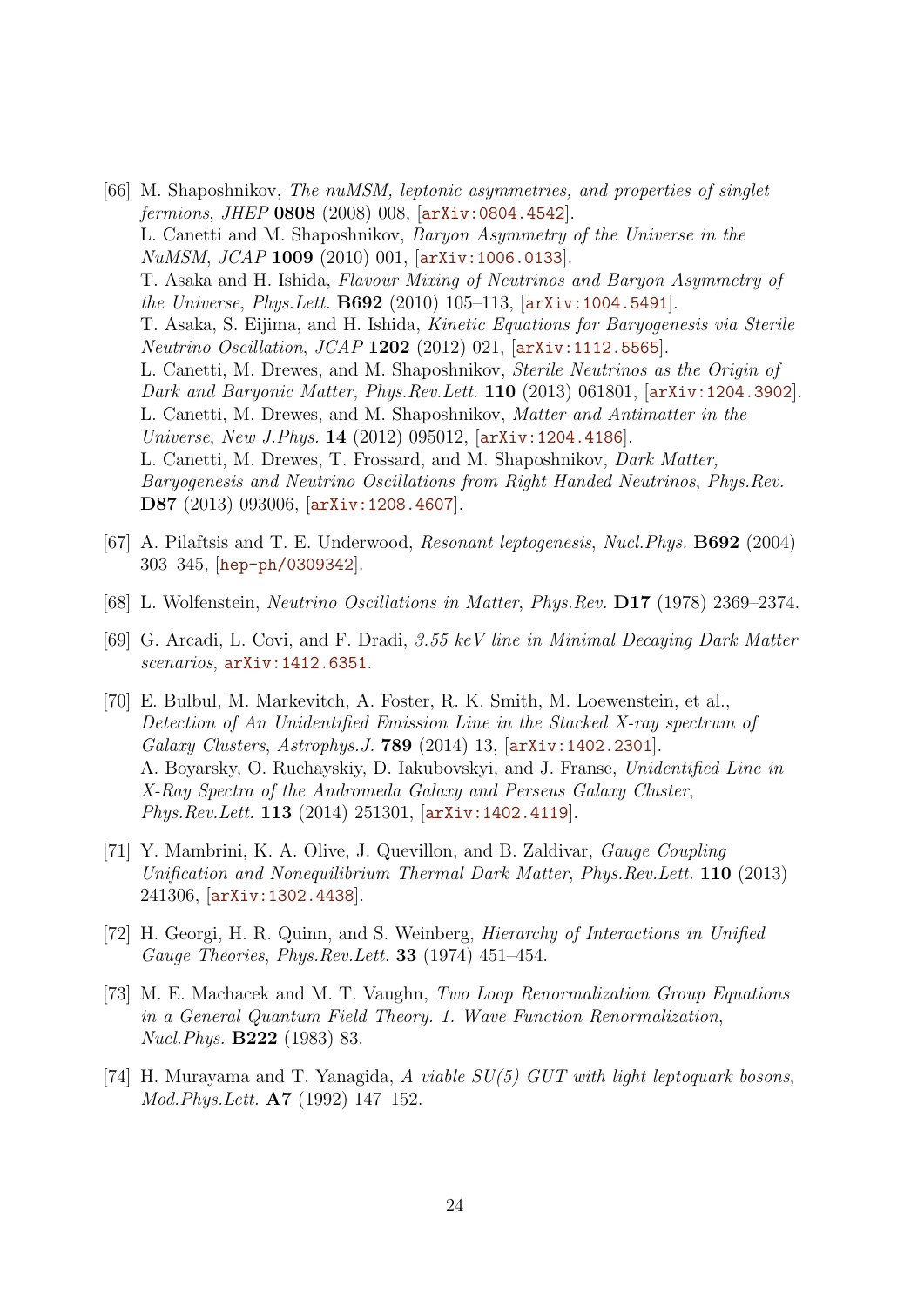- <span id="page-24-0"></span>[66] M. Shaposhnikov, The nuMSM, leptonic asymmetries, and properties of singlet fermions, JHEP 0808 (2008) 008, [[arXiv:0804.4542](http://arxiv.org/abs/0804.4542)]. L. Canetti and M. Shaposhnikov, Baryon Asymmetry of the Universe in the NuMSM, JCAP 1009 (2010) 001, [[arXiv:1006.0133](http://arxiv.org/abs/1006.0133)]. T. Asaka and H. Ishida, Flavour Mixing of Neutrinos and Baryon Asymmetry of the Universe, Phys.Lett. B692 (2010) 105–113, [[arXiv:1004.5491](http://arxiv.org/abs/1004.5491)]. T. Asaka, S. Eijima, and H. Ishida, Kinetic Equations for Baryogenesis via Sterile Neutrino Oscillation, JCAP 1202 (2012) 021, [[arXiv:1112.5565](http://arxiv.org/abs/1112.5565)]. L. Canetti, M. Drewes, and M. Shaposhnikov, Sterile Neutrinos as the Origin of Dark and Baryonic Matter, Phys.Rev.Lett. 110 (2013) 061801, [[arXiv:1204.3902](http://arxiv.org/abs/1204.3902)]. L. Canetti, M. Drewes, and M. Shaposhnikov, Matter and Antimatter in the Universe, New J.Phys. 14 (2012) 095012, [[arXiv:1204.4186](http://arxiv.org/abs/1204.4186)]. L. Canetti, M. Drewes, T. Frossard, and M. Shaposhnikov, Dark Matter, Baryogenesis and Neutrino Oscillations from Right Handed Neutrinos, Phys.Rev. D87 (2013) 093006, [[arXiv:1208.4607](http://arxiv.org/abs/1208.4607)].
- <span id="page-24-1"></span>[67] A. Pilaftsis and T. E. Underwood, Resonant leptogenesis, Nucl.Phys. B692 (2004) 303–345, [[hep-ph/0309342](http://arxiv.org/abs/hep-ph/0309342)].
- <span id="page-24-2"></span>[68] L. Wolfenstein, Neutrino Oscillations in Matter, Phys.Rev. D17 (1978) 2369–2374.
- <span id="page-24-3"></span>[69] G. Arcadi, L. Covi, and F. Dradi, 3.55 keV line in Minimal Decaying Dark Matter scenarios, [arXiv:1412.6351](http://arxiv.org/abs/1412.6351).
- <span id="page-24-4"></span>[70] E. Bulbul, M. Markevitch, A. Foster, R. K. Smith, M. Loewenstein, et al., Detection of An Unidentified Emission Line in the Stacked X-ray spectrum of Galaxy Clusters, Astrophys.J. 789 (2014) 13, [[arXiv:1402.2301](http://arxiv.org/abs/1402.2301)]. A. Boyarsky, O. Ruchayskiy, D. Iakubovskyi, and J. Franse, Unidentified Line in X-Ray Spectra of the Andromeda Galaxy and Perseus Galaxy Cluster, Phys.Rev.Lett. 113 (2014) 251301, [[arXiv:1402.4119](http://arxiv.org/abs/1402.4119)].
- <span id="page-24-5"></span>[71] Y. Mambrini, K. A. Olive, J. Quevillon, and B. Zaldivar, Gauge Coupling Unification and Nonequilibrium Thermal Dark Matter, Phys.Rev.Lett. 110 (2013) 241306, [[arXiv:1302.4438](http://arxiv.org/abs/1302.4438)].
- <span id="page-24-6"></span>[72] H. Georgi, H. R. Quinn, and S. Weinberg, Hierarchy of Interactions in Unified Gauge Theories, Phys. Rev. Lett. **33** (1974) 451–454.
- <span id="page-24-7"></span>[73] M. E. Machacek and M. T. Vaughn, Two Loop Renormalization Group Equations in a General Quantum Field Theory. 1. Wave Function Renormalization, Nucl.Phys. B222 (1983) 83.
- <span id="page-24-8"></span>[74] H. Murayama and T. Yanagida, A viable SU(5) GUT with light leptoquark bosons, Mod.Phys.Lett. A7 (1992) 147–152.